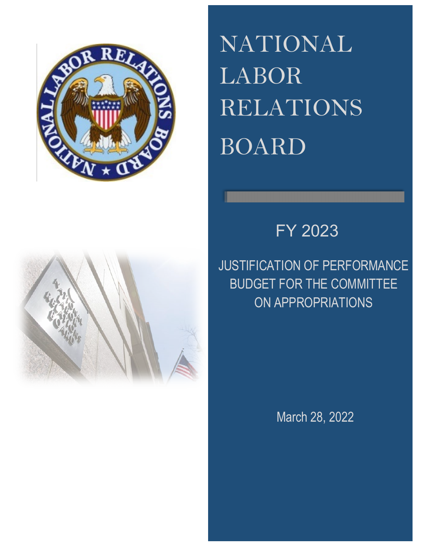

NATIONAL LABOR RELATIONS BOARD

# FY 2023

JUSTIFICATION OF PERFORMANCE BUDGET FOR THE COMMITTEE ON APPROPRIATIONS

March 28, 2022

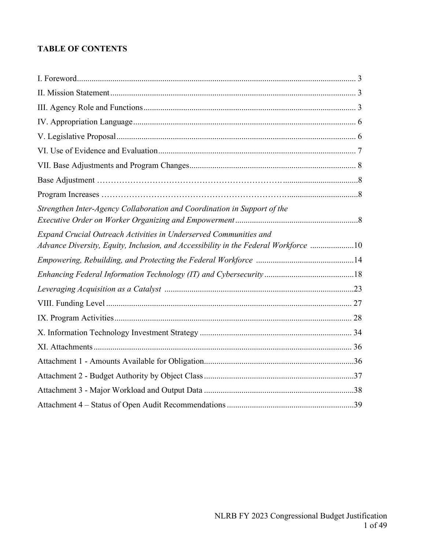### **TABLE OF CONTENTS**

| Strengthen Inter-Agency Collaboration and Coordination in Support of the                                                                                 |  |
|----------------------------------------------------------------------------------------------------------------------------------------------------------|--|
| Expand Crucial Outreach Activities in Underserved Communities and<br>Advance Diversity, Equity, Inclusion, and Accessibility in the Federal Workforce 10 |  |
|                                                                                                                                                          |  |
|                                                                                                                                                          |  |
|                                                                                                                                                          |  |
|                                                                                                                                                          |  |
|                                                                                                                                                          |  |
|                                                                                                                                                          |  |
|                                                                                                                                                          |  |
|                                                                                                                                                          |  |
|                                                                                                                                                          |  |
|                                                                                                                                                          |  |
|                                                                                                                                                          |  |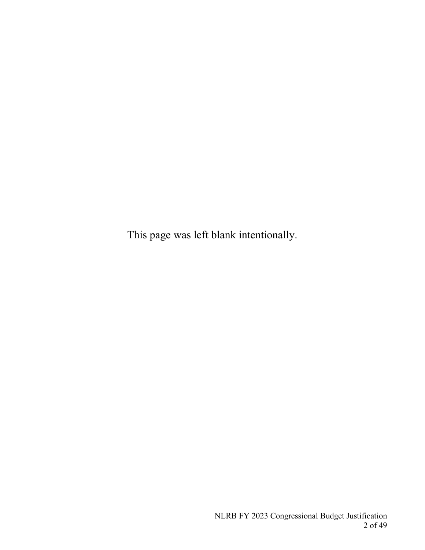This page was left blank intentionally.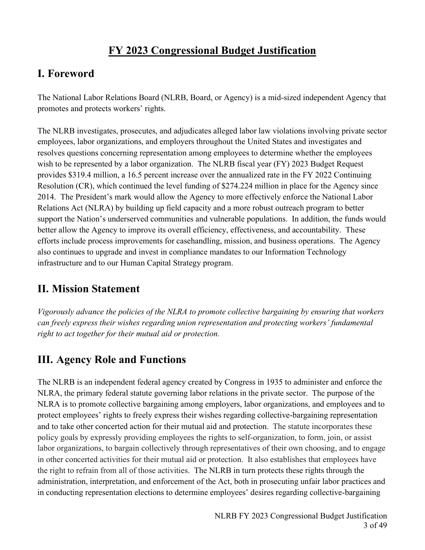## **FY 2023 Congressional Budget Justification**

## <span id="page-3-0"></span>**I. Foreword**

The National Labor Relations Board (NLRB, Board, or Agency) is a mid-sized independent Agency that promotes and protects workers' rights.

The NLRB investigates, prosecutes, and adjudicates alleged labor law violations involving private sector employees, labor organizations, and employers throughout the United States and investigates and resolves questions concerning representation among employees to determine whether the employees wish to be represented by a labor organization. The NLRB fiscal year (FY) 2023 Budget Request provides \$319.4 million, a 16.5 percent increase over the annualized rate in the FY 2022 Continuing Resolution (CR), which continued the level funding of \$274.224 million in place for the Agency since 2014. The President's mark would allow the Agency to more effectively enforce the National Labor Relations Act (NLRA) by building up field capacity and a more robust outreach program to better support the Nation's underserved communities and vulnerable populations. In addition, the funds would better allow the Agency to improve its overall efficiency, effectiveness, and accountability. These efforts include process improvements for casehandling, mission, and business operations. The Agency also continues to upgrade and invest in compliance mandates to our Information Technology infrastructure and to our Human Capital Strategy program.

## <span id="page-3-1"></span>**II. Mission Statement**

*Vigorously advance the policies of the NLRA to promote collective bargaining by ensuring that workers can freely express their wishes regarding union representation and protecting workers' fundamental right to act together for their mutual aid or protection.* 

## <span id="page-3-2"></span>**III. Agency Role and Functions**

The NLRB is an independent federal agency created by Congress in 1935 to administer and enforce the NLRA, the primary federal statute governing labor relations in the private sector. The purpose of the NLRA is to promote collective bargaining among employers, labor organizations, and employees and to protect employees' rights to freely express their wishes regarding collective-bargaining representation and to take other concerted action for their mutual aid and protection. The statute incorporates these policy goals by expressly providing employees the rights to self-organization, to form, join, or assist labor organizations, to bargain collectively through representatives of their own choosing, and to engage in other concerted activities for their mutual aid or protection. It also establishes that employees have the right to refrain from all of those activities. The NLRB in turn protects these rights through the administration, interpretation, and enforcement of the Act, both in prosecuting unfair labor practices and in conducting representation elections to determine employees' desires regarding collective-bargaining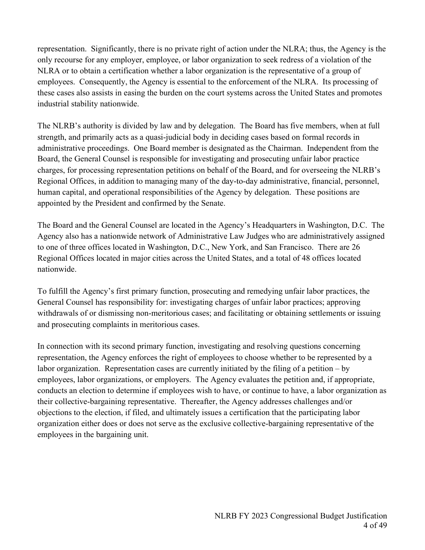representation. Significantly, there is no private right of action under the NLRA; thus, the Agency is the only recourse for any employer, employee, or labor organization to seek redress of a violation of the NLRA or to obtain a certification whether a labor organization is the representative of a group of employees. Consequently, the Agency is essential to the enforcement of the NLRA. Its processing of these cases also assists in easing the burden on the court systems across the United States and promotes industrial stability nationwide.

The NLRB's authority is divided by law and by delegation. The Board has five members, when at full strength, and primarily acts as a quasi-judicial body in deciding cases based on formal records in administrative proceedings. One Board member is designated as the Chairman. Independent from the Board, the General Counsel is responsible for investigating and prosecuting unfair labor practice charges, for processing representation petitions on behalf of the Board, and for overseeing the NLRB's Regional Offices, in addition to managing many of the day-to-day administrative, financial, personnel, human capital, and operational responsibilities of the Agency by delegation. These positions are appointed by the President and confirmed by the Senate.

The Board and the General Counsel are located in the Agency's Headquarters in Washington, D.C. The Agency also has a nationwide network of Administrative Law Judges who are administratively assigned to one of three offices located in Washington, D.C., New York, and San Francisco. There are 26 Regional Offices located in major cities across the United States, and a total of 48 offices located nationwide.

To fulfill the Agency's first primary function, prosecuting and remedying unfair labor practices, the General Counsel has responsibility for: investigating charges of unfair labor practices; approving withdrawals of or dismissing non-meritorious cases; and facilitating or obtaining settlements or issuing and prosecuting complaints in meritorious cases.

In connection with its second primary function, investigating and resolving questions concerning representation, the Agency enforces the right of employees to choose whether to be represented by a labor organization. Representation cases are currently initiated by the filing of a petition – by employees, labor organizations, or employers. The Agency evaluates the petition and, if appropriate, conducts an election to determine if employees wish to have, or continue to have, a labor organization as their collective-bargaining representative. Thereafter, the Agency addresses challenges and/or objections to the election, if filed, and ultimately issues a certification that the participating labor organization either does or does not serve as the exclusive collective-bargaining representative of the employees in the bargaining unit.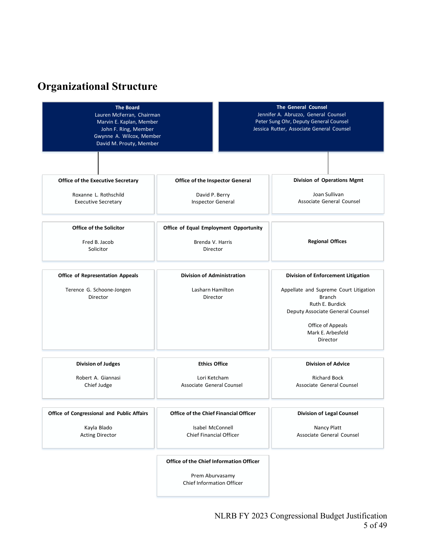## **Organizational Structure**



Prem Aburvasamy Chief Information Officer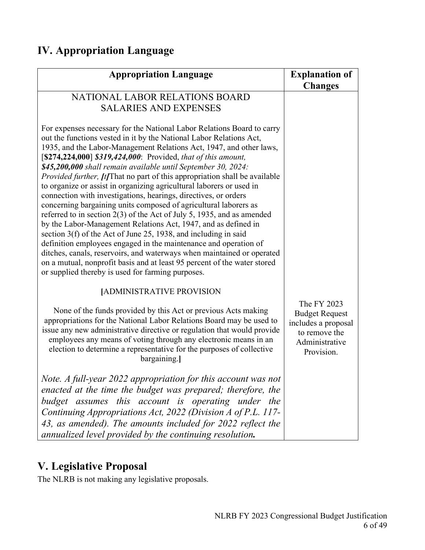## <span id="page-6-0"></span>**IV. Appropriation Language**

| <b>Appropriation Language</b>                                                                                                                                                                                                                                                                                                                                                                                                                                                                                                                                                                                                                                                                                                                                                                                                                                                                                                                                                                                                                                                                                                                          | <b>Explanation of</b>                                                                                        |
|--------------------------------------------------------------------------------------------------------------------------------------------------------------------------------------------------------------------------------------------------------------------------------------------------------------------------------------------------------------------------------------------------------------------------------------------------------------------------------------------------------------------------------------------------------------------------------------------------------------------------------------------------------------------------------------------------------------------------------------------------------------------------------------------------------------------------------------------------------------------------------------------------------------------------------------------------------------------------------------------------------------------------------------------------------------------------------------------------------------------------------------------------------|--------------------------------------------------------------------------------------------------------------|
|                                                                                                                                                                                                                                                                                                                                                                                                                                                                                                                                                                                                                                                                                                                                                                                                                                                                                                                                                                                                                                                                                                                                                        | <b>Changes</b>                                                                                               |
| NATIONAL LABOR RELATIONS BOARD                                                                                                                                                                                                                                                                                                                                                                                                                                                                                                                                                                                                                                                                                                                                                                                                                                                                                                                                                                                                                                                                                                                         |                                                                                                              |
| <b>SALARIES AND EXPENSES</b>                                                                                                                                                                                                                                                                                                                                                                                                                                                                                                                                                                                                                                                                                                                                                                                                                                                                                                                                                                                                                                                                                                                           |                                                                                                              |
| For expenses necessary for the National Labor Relations Board to carry<br>out the functions vested in it by the National Labor Relations Act,<br>1935, and the Labor-Management Relations Act, 1947, and other laws,<br>[\$274,224,000] \$319,424,000: Provided, that of this amount,<br>\$45,200,000 shall remain available until September 30, 2024:<br>Provided further, [t] That no part of this appropriation shall be available<br>to organize or assist in organizing agricultural laborers or used in<br>connection with investigations, hearings, directives, or orders<br>concerning bargaining units composed of agricultural laborers as<br>referred to in section $2(3)$ of the Act of July 5, 1935, and as amended<br>by the Labor-Management Relations Act, 1947, and as defined in<br>section $3(f)$ of the Act of June 25, 1938, and including in said<br>definition employees engaged in the maintenance and operation of<br>ditches, canals, reservoirs, and waterways when maintained or operated<br>on a mutual, nonprofit basis and at least 95 percent of the water stored<br>or supplied thereby is used for farming purposes. |                                                                                                              |
| <b>JADMINISTRATIVE PROVISION</b>                                                                                                                                                                                                                                                                                                                                                                                                                                                                                                                                                                                                                                                                                                                                                                                                                                                                                                                                                                                                                                                                                                                       |                                                                                                              |
| None of the funds provided by this Act or previous Acts making<br>appropriations for the National Labor Relations Board may be used to<br>issue any new administrative directive or regulation that would provide<br>employees any means of voting through any electronic means in an<br>election to determine a representative for the purposes of collective<br>bargaining.                                                                                                                                                                                                                                                                                                                                                                                                                                                                                                                                                                                                                                                                                                                                                                          | The FY 2023<br><b>Budget Request</b><br>includes a proposal<br>to remove the<br>Administrative<br>Provision. |
| Note. A full-year 2022 appropriation for this account was not<br>enacted at the time the budget was prepared; therefore, the<br>budget assumes this account is operating under the<br>Continuing Appropriations Act, 2022 (Division A of P.L. 117-<br>43, as amended). The amounts included for 2022 reflect the<br>annualized level provided by the continuing resolution.                                                                                                                                                                                                                                                                                                                                                                                                                                                                                                                                                                                                                                                                                                                                                                            |                                                                                                              |

## <span id="page-6-1"></span>**V. Legislative Proposal**

The NLRB is not making any legislative proposals.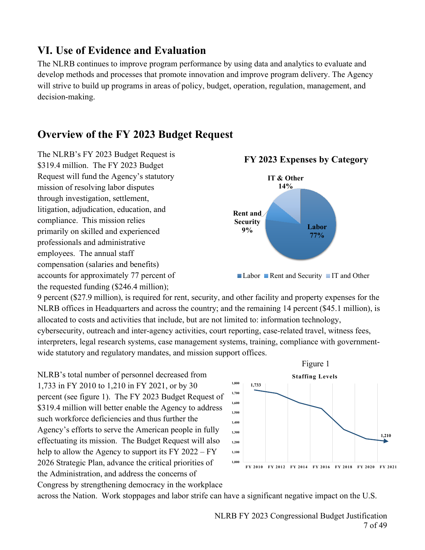## <span id="page-7-0"></span>**VI. Use of Evidence and Evaluation**

The NLRB continues to improve program performance by using data and analytics to evaluate and develop methods and processes that promote innovation and improve program delivery. The Agency will strive to build up programs in areas of policy, budget, operation, regulation, management, and decision-making.

## **Overview of the FY 2023 Budget Request**

The NLRB's FY 2023 Budget Request is \$319.4 million. The FY 2023 Budget Request will fund the Agency's statutory mission of resolving labor disputes through investigation, settlement, litigation, adjudication, education, and compliance. This mission relies primarily on skilled and experienced professionals and administrative employees. The annual staff compensation (salaries and benefits) accounts for approximately 77 percent of the requested funding (\$246.4 million);



9 percent (\$27.9 million), is required for rent, security, and other facility and property expenses for the NLRB offices in Headquarters and across the country; and the remaining 14 percent (\$45.1 million), is allocated to costs and activities that include, but are not limited to: information technology, cybersecurity, outreach and inter-agency activities, court reporting, case-related travel, witness fees, interpreters, legal research systems, case management systems, training, compliance with governmentwide statutory and regulatory mandates, and mission support offices.

NLRB's total number of personnel decreased from 1,733 in FY 2010 to 1,210 in FY 2021, or by 30 percent (see figure 1). The FY 2023 Budget Request of \$319.4 million will better enable the Agency to address such workforce deficiencies and thus further the Agency's efforts to serve the American people in fully effectuating its mission. The Budget Request will also help to allow the Agency to support its FY 2022 – FY 2026 Strategic Plan, advance the critical priorities of the Administration, and address the concerns of

Congress by strengthening democracy in the workplace



across the Nation. Work stoppages and labor strife can have a significant negative impact on the U.S.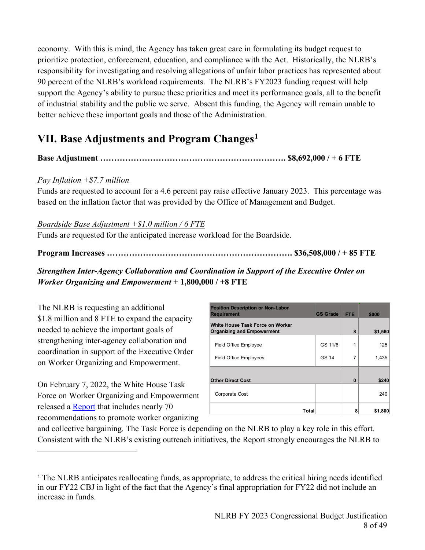economy. With this is mind, the Agency has taken great care in formulating its budget request to prioritize protection, enforcement, education, and compliance with the Act. Historically, the NLRB's responsibility for investigating and resolving allegations of unfair labor practices has represented about 90 percent of the NLRB's workload requirements. The NLRB's FY2023 funding request will help support the Agency's ability to pursue these priorities and meet its performance goals, all to the benefit of industrial stability and the public we serve. Absent this funding, the Agency will remain unable to better achieve these important goals and those of the Administration.

## <span id="page-8-0"></span>**VII. Base Adjustments and Program Changes[1](#page-8-4)**

<span id="page-8-1"></span>**Base Adjustment …………………………………………………………. \$8,692,000 / + 6 FTE** 

### *Pay Inflation +\$7.7 million*

Funds are requested to account for a 4.6 percent pay raise effective January 2023. This percentage was based on the inflation factor that was provided by the Office of Management and Budget.

#### *Boardside Base Adjustment +\$1.0 million / 6 FTE*

Funds are requested for the anticipated increase workload for the Boardside.

<span id="page-8-2"></span>**Program Increases …………………………………………………………. \$36,508,000 / + 85 FTE**

### <span id="page-8-3"></span>*Strengthen Inter-Agency Collaboration and Coordination in Support of the Executive Order on Worker Organizing and Empowerment* **+ 1,800,000 / +8 FTE**

The NLRB is requesting an additional \$1.8 million and 8 FTE to expand the capacity needed to achieve the important goals of strengthening inter-agency collaboration and coordination in support of the Executive Order on Worker Organizing and Empowerment.

On February 7, 2022, the White House Task Force on Worker Organizing and Empowerment released a [Report](https://www.whitehouse.gov/wp-content/uploads/2022/02/White-House-Task-Force-on-Worker-Organizing-and-Empowerment-Report.pdf) that includes nearly 70 recommendations to promote worker organizing

| <b>Position Description or Non-Labor</b><br><b>Requirement</b>        | <b>GS Grade</b> | <b>FTE</b> | \$000   |
|-----------------------------------------------------------------------|-----------------|------------|---------|
| White House Task Force on Worker<br><b>Organizing and Empowerment</b> |                 | 8          | \$1,560 |
| <b>Field Office Employee</b>                                          | GS 11/6         |            | 125     |
| <b>Field Office Employees</b>                                         | GS 14           | 7          | 1,435   |
| <b>Other Direct Cost</b>                                              |                 | $\bf{0}$   | \$240   |
| Corporate Cost                                                        |                 |            | 240     |
| Total                                                                 |                 | 8          | \$1,800 |

and collective bargaining. The Task Force is depending on the NLRB to play a key role in this effort. Consistent with the NLRB's existing outreach initiatives, the Report strongly encourages the NLRB to

<span id="page-8-4"></span><sup>1</sup> The NLRB anticipates reallocating funds, as appropriate, to address the critical hiring needs identified in our FY22 CBJ in light of the fact that the Agency's final appropriation for FY22 did not include an increase in funds.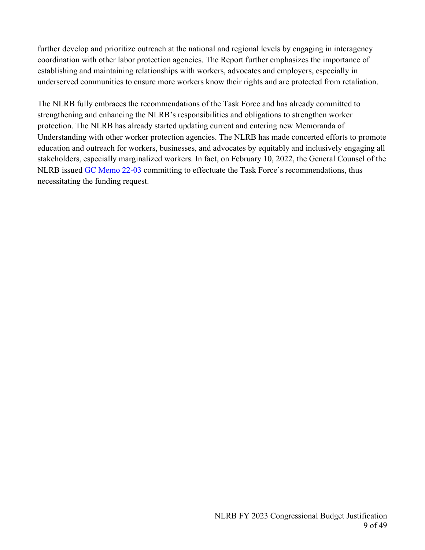further develop and prioritize outreach at the national and regional levels by engaging in interagency coordination with other labor protection agencies. The Report further emphasizes the importance of establishing and maintaining relationships with workers, advocates and employers, especially in underserved communities to ensure more workers know their rights and are protected from retaliation.

The NLRB fully embraces the recommendations of the Task Force and has already committed to strengthening and enhancing the NLRB's responsibilities and obligations to strengthen worker protection. The NLRB has already started updating current and entering new Memoranda of Understanding with other worker protection agencies. The NLRB has made concerted efforts to promote education and outreach for workers, businesses, and advocates by equitably and inclusively engaging all stakeholders, especially marginalized workers. In fact, on February 10, 2022, the General Counsel of the NLRB issued [GC Memo 22-03](https://apps.nlrb.gov/link/document.aspx/09031d458369c5be) committing to effectuate the Task Force's recommendations, thus necessitating the funding request.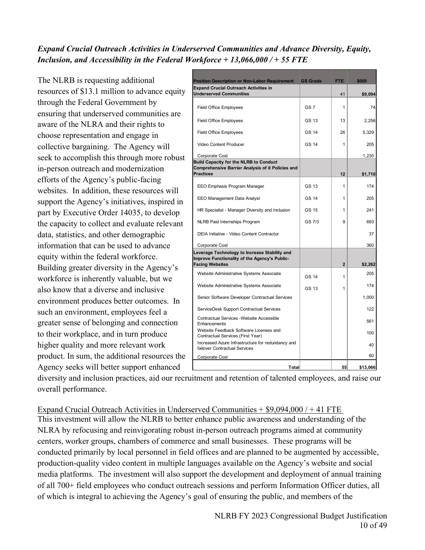#### <span id="page-10-0"></span>*Expand Crucial Outreach Activities in Underserved Communities and Advance Diversity, Equity, Inclusion, and Accessibility in the Federal Workforce + 13,066,000 / + 55 FTE*

The NLRB is requesting additional resources of \$13.1 million to advance equity through the Federal Government by ensuring that underserved communities are aware of the NLRA and their rights to choose representation and engage in collective bargaining. The Agency will seek to accomplish this through more robust in-person outreach and modernization efforts of the Agency's public-facing websites. In addition, these resources will support the Agency's initiatives, inspired in part by Executive Order 14035, to develop the capacity to collect and evaluate relevant data, statistics, and other demographic information that can be used to advance equity within the federal workforce. Building greater diversity in the Agency's workforce is inherently valuable, but we also know that a diverse and inclusive environment produces better outcomes. In such an environment, employees feel a greater sense of belonging and connection to their workplace, and in turn produce higher quality and more relevant work product. In sum, the additional resources the Agency seeks will better support enhanced

| <b>Position Description or Non-Labor Requirement</b>                               | <b>GS Grade</b> | <b>FTE</b>     | \$000    |
|------------------------------------------------------------------------------------|-----------------|----------------|----------|
| <b>Expand Crucial Outreach Activities in</b><br><b>Underserved Communities</b>     |                 | 41             | \$9,094  |
|                                                                                    |                 |                |          |
| <b>Field Office Employees</b>                                                      | GS7             | 1              | 74       |
| <b>Field Office Employees</b>                                                      | GS 13           | 13             | 2,256    |
| <b>Field Office Employees</b>                                                      | GS 14           | 26             | 5,329    |
| Video Content Producer                                                             | GS 14           | 1              | 205      |
| Corporate Cost                                                                     |                 |                | 1,230    |
| <b>Build Capacity for the NLRB to Conduct</b>                                      |                 |                |          |
| <b>Comprehensive Barrier Analysis of it Policies and</b><br><b>Practices</b>       |                 | 12             | \$1,710  |
|                                                                                    |                 |                |          |
| EEO Emphasis Program Manager                                                       | GS 13           | 1              | 174      |
| <b>EEO Management Data Analyst</b>                                                 | GS 14           | 1              | 205      |
| HR Specialist - Manager Diversity and Inclusion                                    | GS 15           | 1              | 241      |
| NLRB Paid Internships Program                                                      | GS 7/3          | 9              | 693      |
| DEIA Initiative - Video Content Contractor                                         |                 |                | 37       |
| Corporate Cost                                                                     |                 |                | 360      |
| Leverage Technology to Increase Stability and                                      |                 |                |          |
| Improve Functionality of the Agency's Public-<br><b>Facing Websites</b>            |                 | $\overline{2}$ | \$2,262  |
| Website Administrative Systems Associate                                           |                 |                | 205      |
|                                                                                    | GS 14           | 1              |          |
| Website Administrative Systems Associate                                           | GS 13           | 1              | 174      |
| Senior Software Developer Contractual Services                                     |                 |                | 1,000    |
| ServiceDesk Support Contractual Services                                           |                 |                | 122      |
| Contractual Services - Website Accessible<br>Enhancements                          |                 |                | 561      |
| Website Feedback Software Licenses and<br>Contractual Services (First Year)        |                 |                | 100      |
| Increased Azure Infrastructure for redundancy and<br>failover Contractual Services |                 |                | 40       |
| Corporate Cost                                                                     |                 |                | 60       |
| Total                                                                              |                 | 55             | \$13,066 |

diversity and inclusion practices, aid our recruitment and retention of talented employees, and raise our overall performance.

Expand Crucial Outreach Activities in Underserved Communities  $+$  \$9,094,000 / + 41 FTE

This investment will allow the NLRB to better enhance public awareness and understanding of the NLRA by refocusing and reinvigorating robust in-person outreach programs aimed at community centers, worker groups, chambers of commerce and small businesses. These programs will be conducted primarily by local personnel in field offices and are planned to be augmented by accessible, production-quality video content in multiple languages available on the Agency's website and social media platforms. The investment will also support the development and deployment of annual training of all 700+ field employees who conduct outreach sessions and perform Information Officer duties, all of which is integral to achieving the Agency's goal of ensuring the public, and members of the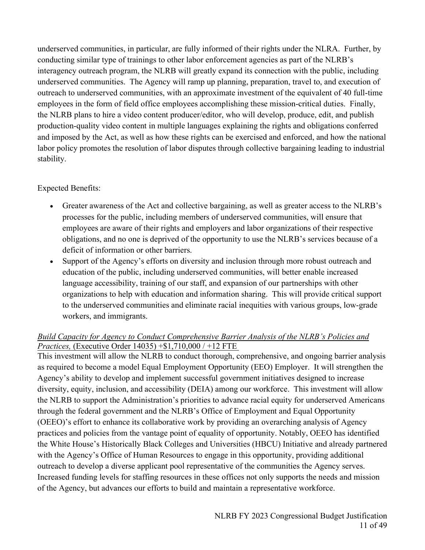underserved communities, in particular, are fully informed of their rights under the NLRA. Further, by conducting similar type of trainings to other labor enforcement agencies as part of the NLRB's interagency outreach program, the NLRB will greatly expand its connection with the public, including underserved communities. The Agency will ramp up planning, preparation, travel to, and execution of outreach to underserved communities, with an approximate investment of the equivalent of 40 full-time employees in the form of field office employees accomplishing these mission-critical duties. Finally, the NLRB plans to hire a video content producer/editor, who will develop, produce, edit, and publish production-quality video content in multiple languages explaining the rights and obligations conferred and imposed by the Act, as well as how these rights can be exercised and enforced, and how the national labor policy promotes the resolution of labor disputes through collective bargaining leading to industrial stability.

#### Expected Benefits:

- Greater awareness of the Act and collective bargaining, as well as greater access to the NLRB's processes for the public, including members of underserved communities, will ensure that employees are aware of their rights and employers and labor organizations of their respective obligations, and no one is deprived of the opportunity to use the NLRB's services because of a deficit of information or other barriers.
- Support of the Agency's efforts on diversity and inclusion through more robust outreach and education of the public, including underserved communities, will better enable increased language accessibility, training of our staff, and expansion of our partnerships with other organizations to help with education and information sharing. This will provide critical support to the underserved communities and eliminate racial inequities with various groups, low-grade workers, and immigrants.

#### *Build Capacity for Agency to Conduct Comprehensive Barrier Analysis of the NLRB's Policies and Practices,* (Executive Order 14035) +\$1,710,000 / +12 FTE

This investment will allow the NLRB to conduct thorough, comprehensive, and ongoing barrier analysis as required to become a model Equal Employment Opportunity (EEO) Employer. It will strengthen the Agency's ability to develop and implement successful government initiatives designed to increase diversity, equity, inclusion, and accessibility (DEIA) among our workforce. This investment will allow the NLRB to support the Administration's priorities to advance racial equity for underserved Americans through the federal government and the NLRB's Office of Employment and Equal Opportunity (OEEO)'s effort to enhance its collaborative work by providing an overarching analysis of Agency practices and policies from the vantage point of equality of opportunity. Notably, OEEO has identified the White House's Historically Black Colleges and Universities (HBCU) Initiative and already partnered with the Agency's Office of Human Resources to engage in this opportunity, providing additional outreach to develop a diverse applicant pool representative of the communities the Agency serves. Increased funding levels for staffing resources in these offices not only supports the needs and mission of the Agency, but advances our efforts to build and maintain a representative workforce.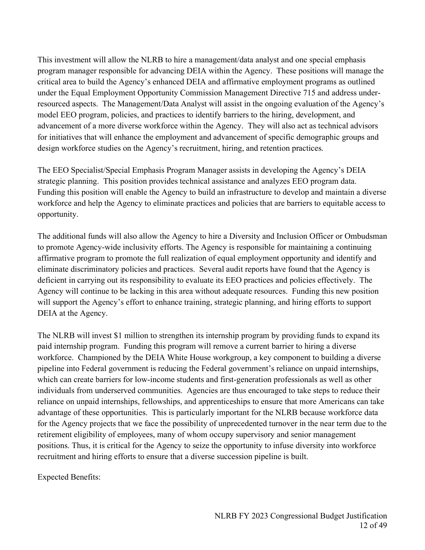This investment will allow the NLRB to hire a management/data analyst and one special emphasis program manager responsible for advancing DEIA within the Agency. These positions will manage the critical area to build the Agency's enhanced DEIA and affirmative employment programs as outlined under the Equal Employment Opportunity Commission Management Directive 715 and address underresourced aspects. The Management/Data Analyst will assist in the ongoing evaluation of the Agency's model EEO program, policies, and practices to identify barriers to the hiring, development, and advancement of a more diverse workforce within the Agency. They will also act as technical advisors for initiatives that will enhance the employment and advancement of specific demographic groups and design workforce studies on the Agency's recruitment, hiring, and retention practices.

The EEO Specialist/Special Emphasis Program Manager assists in developing the Agency's DEIA strategic planning. This position provides technical assistance and analyzes EEO program data. Funding this position will enable the Agency to build an infrastructure to develop and maintain a diverse workforce and help the Agency to eliminate practices and policies that are barriers to equitable access to opportunity.

The additional funds will also allow the Agency to hire a Diversity and Inclusion Officer or Ombudsman to promote Agency-wide inclusivity efforts. The Agency is responsible for maintaining a continuing affirmative program to promote the full realization of equal employment opportunity and identify and eliminate discriminatory policies and practices. Several audit reports have found that the Agency is deficient in carrying out its responsibility to evaluate its EEO practices and policies effectively. The Agency will continue to be lacking in this area without adequate resources. Funding this new position will support the Agency's effort to enhance training, strategic planning, and hiring efforts to support DEIA at the Agency.

The NLRB will invest \$1 million to strengthen its internship program by providing funds to expand its paid internship program. Funding this program will remove a current barrier to hiring a diverse workforce. Championed by the DEIA White House workgroup, a key component to building a diverse pipeline into Federal government is reducing the Federal government's reliance on unpaid internships, which can create barriers for low-income students and first-generation professionals as well as other individuals from underserved communities. Agencies are thus encouraged to take steps to reduce their reliance on unpaid internships, fellowships, and apprenticeships to ensure that more Americans can take advantage of these opportunities. This is particularly important for the NLRB because workforce data for the Agency projects that we face the possibility of unprecedented turnover in the near term due to the retirement eligibility of employees, many of whom occupy supervisory and senior management positions. Thus, it is critical for the Agency to seize the opportunity to infuse diversity into workforce recruitment and hiring efforts to ensure that a diverse succession pipeline is built.

Expected Benefits: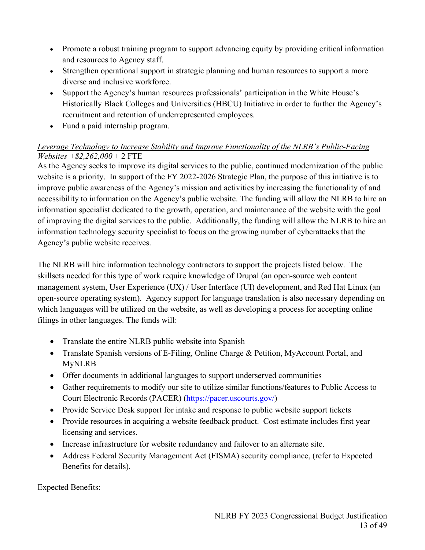- Promote a robust training program to support advancing equity by providing critical information and resources to Agency staff.
- Strengthen operational support in strategic planning and human resources to support a more diverse and inclusive workforce.
- Support the Agency's human resources professionals' participation in the White House's Historically Black Colleges and Universities (HBCU) Initiative in order to further the Agency's recruitment and retention of underrepresented employees.
- Fund a paid internship program.

#### *Leverage Technology to Increase Stability and Improve Functionality of the NLRB's Public-Facing Websites +\$2,262,000* + 2 FTE

As the Agency seeks to improve its digital services to the public, continued modernization of the public website is a priority. In support of the FY 2022-2026 Strategic Plan, the purpose of this initiative is to improve public awareness of the Agency's mission and activities by increasing the functionality of and accessibility to information on the Agency's public website. The funding will allow the NLRB to hire an information specialist dedicated to the growth, operation, and maintenance of the website with the goal of improving the digital services to the public. Additionally, the funding will allow the NLRB to hire an information technology security specialist to focus on the growing number of cyberattacks that the Agency's public website receives.

The NLRB will hire information technology contractors to support the projects listed below. The skillsets needed for this type of work require knowledge of Drupal (an open-source web content management system, User Experience (UX) / User Interface (UI) development, and Red Hat Linux (an open-source operating system). Agency support for language translation is also necessary depending on which languages will be utilized on the website, as well as developing a process for accepting online filings in other languages. The funds will:

- Translate the entire NLRB public website into Spanish
- Translate Spanish versions of E-Filing, Online Charge & Petition, MyAccount Portal, and MyNLRB
- Offer documents in additional languages to support underserved communities
- Gather requirements to modify our site to utilize similar functions/features to Public Access to Court Electronic Records (PACER) [\(https://pacer.uscourts.gov/\)](https://pacer.uscourts.gov/)
- Provide Service Desk support for intake and response to public website support tickets
- Provide resources in acquiring a website feedback product. Cost estimate includes first year licensing and services.
- Increase infrastructure for website redundancy and failover to an alternate site.
- Address Federal Security Management Act (FISMA) security compliance, (refer to Expected Benefits for details).

Expected Benefits: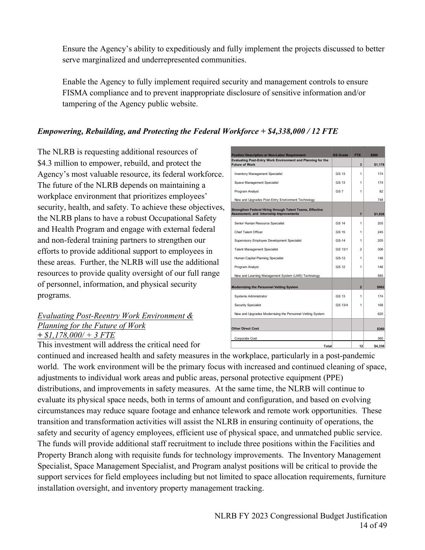Ensure the Agency's ability to expeditiously and fully implement the projects discussed to better serve marginalized and underrepresented communities.

Enable the Agency to fully implement required security and management controls to ensure FISMA compliance and to prevent inappropriate disclosure of sensitive information and/or tampering of the Agency public website.

#### <span id="page-14-0"></span>*Empowering, Rebuilding, and Protecting the Federal Workforce + \$4,338,000 / 12 FTE*

The NLRB is requesting additional resources of \$4.3 million to empower, rebuild, and protect the Agency's most valuable resource, its federal workforce. The future of the NLRB depends on maintaining a workplace environment that prioritizes employees' security, health, and safety. To achieve these objectives, the NLRB plans to have a robust Occupational Safety and Health Program and engage with external federal and non-federal training partners to strengthen our efforts to provide additional support to employees in these areas. Further, the NLRB will use the additional resources to provide quality oversight of our full range of personnel, information, and physical security programs.

#### *Evaluating Post-Reentry Work Environment & Planning for the Future of Work* *+ \$1,178,000/ + 3 FTE*

This investment will address the critical need for

continued and increased health and safety measures in the workplace, particularly in a post-pandemic world. The work environment will be the primary focus with increased and continued cleaning of space, adjustments to individual work areas and public areas, personal protective equipment (PPE) distributions, and improvements in safety measures. At the same time, the NLRB will continue to evaluate its physical space needs, both in terms of amount and configuration, and based on evolving circumstances may reduce square footage and enhance telework and remote work opportunities. These transition and transformation activities will assist the NLRB in ensuring continuity of operations, the safety and security of agency employees, efficient use of physical space, and unmatched public service. The funds will provide additional staff recruitment to include three positions within the Facilities and Property Branch along with requisite funds for technology improvements. The Inventory Management Specialist, Space Management Specialist, and Program analyst positions will be critical to provide the support services for field employees including but not limited to space allocation requirements, furniture installation oversight, and inventory property management tracking.

| <b>Position Description or Non-Labor Requirement</b>                                                 | <b>GS Grade</b> | <b>FTE</b>              | \$000   |
|------------------------------------------------------------------------------------------------------|-----------------|-------------------------|---------|
| Evaluating Post-Entry Work Environment and Planning for the<br><b>Future of Work</b>                 |                 | $\overline{\mathbf{3}}$ | \$1,178 |
|                                                                                                      |                 |                         |         |
| <b>Inventory Management Specialist</b>                                                               | GS 13           | 1                       | 174     |
| Space Management Specialist                                                                          | GS 13           | 1                       | 174     |
| Program Analyst                                                                                      | GS <sub>7</sub> | 1                       | 82      |
| New and Upgrades Post-Entry Environment Technology                                                   |                 |                         | 748     |
| Strengthen Federal Hiring through Talent Teams, Effective<br>Assessment, and Internship Improvements |                 | $\overline{7}$          | \$1,838 |
| Senior Human Resource Specialist                                                                     | <b>GS 14</b>    | 1                       | 205     |
| Chief Talent Officer                                                                                 | GS 15           | 1                       | 245     |
| Supervisory Employee Development Specialist                                                          | $GS-14$         | 1                       | 205     |
| <b>Talent Management Specialist</b>                                                                  | GS 13/1         | $\mathfrak{p}$          | 306     |
| Human Capital Planning Specialist                                                                    | $GS-12$         | 1                       | 146     |
| Program Analyst                                                                                      | GS 12           | 1                       | 146     |
| New and Learning Management System (LMS) Technology                                                  |                 |                         | 585     |
| <b>Modernizing the Personnel Vetting System</b>                                                      |                 | $\overline{2}$          | \$962   |
| <b>Systems Administrator</b>                                                                         | GS 13           | 1                       | 174     |
| <b>Security Specialist</b>                                                                           | GS 13/4         | 1                       | 168     |
| New and Upgrades Modernizing the Personnel Vetting System                                            |                 |                         | 620     |
|                                                                                                      |                 |                         |         |
| <b>Other Direct Cost</b>                                                                             |                 |                         | \$360   |
| Corporate Cost                                                                                       |                 |                         | 360     |
| Total                                                                                                |                 | 12 <sup>1</sup>         | \$4,338 |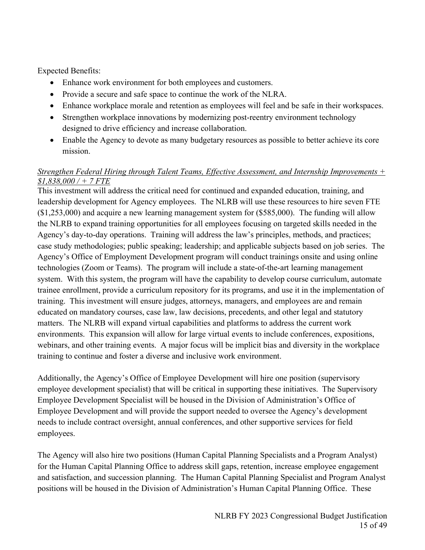Expected Benefits:

- Enhance work environment for both employees and customers.
- Provide a secure and safe space to continue the work of the NLRA.
- Enhance workplace morale and retention as employees will feel and be safe in their workspaces.
- Strengthen workplace innovations by modernizing post-reentry environment technology designed to drive efficiency and increase collaboration.
- Enable the Agency to devote as many budgetary resources as possible to better achieve its core mission.

#### *Strengthen Federal Hiring through Talent Teams, Effective Assessment, and Internship Improvements + \$1,838,000 / + 7 FTE*

This investment will address the critical need for continued and expanded education, training, and leadership development for Agency employees. The NLRB will use these resources to hire seven FTE (\$1,253,000) and acquire a new learning management system for (\$585,000). The funding will allow the NLRB to expand training opportunities for all employees focusing on targeted skills needed in the Agency's day-to-day operations. Training will address the law's principles, methods, and practices; case study methodologies; public speaking; leadership; and applicable subjects based on job series. The Agency's Office of Employment Development program will conduct trainings onsite and using online technologies (Zoom or Teams). The program will include a state-of-the-art learning management system. With this system, the program will have the capability to develop course curriculum, automate trainee enrollment, provide a curriculum repository for its programs, and use it in the implementation of training. This investment will ensure judges, attorneys, managers, and employees are and remain educated on mandatory courses, case law, law decisions, precedents, and other legal and statutory matters. The NLRB will expand virtual capabilities and platforms to address the current work environments. This expansion will allow for large virtual events to include conferences, expositions, webinars, and other training events. A major focus will be implicit bias and diversity in the workplace training to continue and foster a diverse and inclusive work environment.

Additionally, the Agency's Office of Employee Development will hire one position (supervisory employee development specialist) that will be critical in supporting these initiatives. The Supervisory Employee Development Specialist will be housed in the Division of Administration's Office of Employee Development and will provide the support needed to oversee the Agency's development needs to include contract oversight, annual conferences, and other supportive services for field employees.

The Agency will also hire two positions (Human Capital Planning Specialists and a Program Analyst) for the Human Capital Planning Office to address skill gaps, retention, increase employee engagement and satisfaction, and succession planning. The Human Capital Planning Specialist and Program Analyst positions will be housed in the Division of Administration's Human Capital Planning Office. These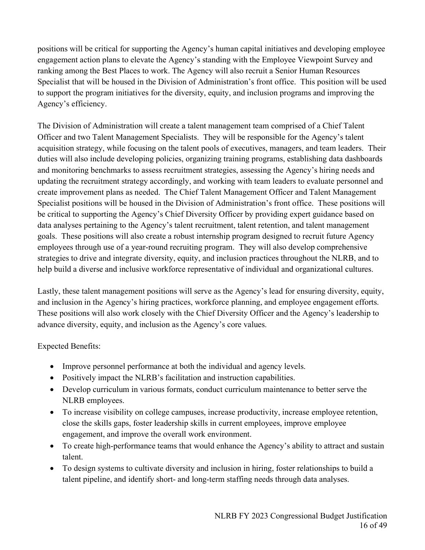positions will be critical for supporting the Agency's human capital initiatives and developing employee engagement action plans to elevate the Agency's standing with the Employee Viewpoint Survey and ranking among the Best Places to work. The Agency will also recruit a Senior Human Resources Specialist that will be housed in the Division of Administration's front office. This position will be used to support the program initiatives for the diversity, equity, and inclusion programs and improving the Agency's efficiency.

The Division of Administration will create a talent management team comprised of a Chief Talent Officer and two Talent Management Specialists. They will be responsible for the Agency's talent acquisition strategy, while focusing on the talent pools of executives, managers, and team leaders. Their duties will also include developing policies, organizing training programs, establishing data dashboards and monitoring benchmarks to assess recruitment strategies, assessing the Agency's hiring needs and updating the recruitment strategy accordingly, and working with team leaders to evaluate personnel and create improvement plans as needed. The Chief Talent Management Officer and Talent Management Specialist positions will be housed in the Division of Administration's front office. These positions will be critical to supporting the Agency's Chief Diversity Officer by providing expert guidance based on data analyses pertaining to the Agency's talent recruitment, talent retention, and talent management goals. These positions will also create a robust internship program designed to recruit future Agency employees through use of a year-round recruiting program. They will also develop comprehensive strategies to drive and integrate diversity, equity, and inclusion practices throughout the NLRB, and to help build a diverse and inclusive workforce representative of individual and organizational cultures.

Lastly, these talent management positions will serve as the Agency's lead for ensuring diversity, equity, and inclusion in the Agency's hiring practices, workforce planning, and employee engagement efforts. These positions will also work closely with the Chief Diversity Officer and the Agency's leadership to advance diversity, equity, and inclusion as the Agency's core values.

#### Expected Benefits:

- Improve personnel performance at both the individual and agency levels.
- Positively impact the NLRB's facilitation and instruction capabilities.
- Develop curriculum in various formats, conduct curriculum maintenance to better serve the NLRB employees.
- To increase visibility on college campuses, increase productivity, increase employee retention, close the skills gaps, foster leadership skills in current employees, improve employee engagement, and improve the overall work environment.
- To create high-performance teams that would enhance the Agency's ability to attract and sustain talent.
- To design systems to cultivate diversity and inclusion in hiring, foster relationships to build a talent pipeline, and identify short- and long-term staffing needs through data analyses.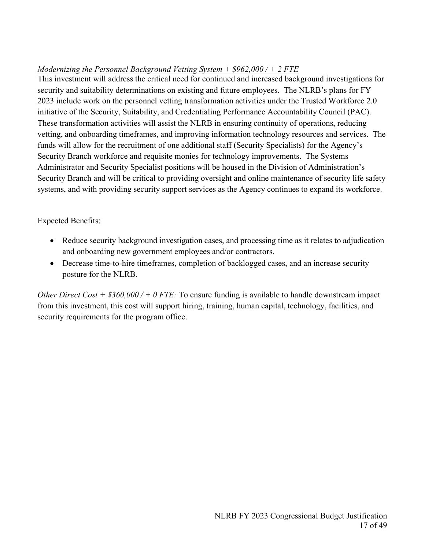#### *Modernizing the Personnel Background Vetting System + \$962,000 / + 2 FTE*

This investment will address the critical need for continued and increased background investigations for security and suitability determinations on existing and future employees. The NLRB's plans for FY 2023 include work on the personnel vetting transformation activities under the Trusted Workforce 2.0 initiative of the Security, Suitability, and Credentialing Performance Accountability Council (PAC). These transformation activities will assist the NLRB in ensuring continuity of operations, reducing vetting, and onboarding timeframes, and improving information technology resources and services. The funds will allow for the recruitment of one additional staff (Security Specialists) for the Agency's Security Branch workforce and requisite monies for technology improvements. The Systems Administrator and Security Specialist positions will be housed in the Division of Administration's Security Branch and will be critical to providing oversight and online maintenance of security life safety systems, and with providing security support services as the Agency continues to expand its workforce.

### Expected Benefits:

- Reduce security background investigation cases, and processing time as it relates to adjudication and onboarding new government employees and/or contractors.
- Decrease time-to-hire timeframes, completion of backlogged cases, and an increase security posture for the NLRB.

*Other Direct Cost + \$360,000 / + 0 FTE:* To ensure funding is available to handle downstream impact from this investment, this cost will support hiring, training, human capital, technology, facilities, and security requirements for the program office.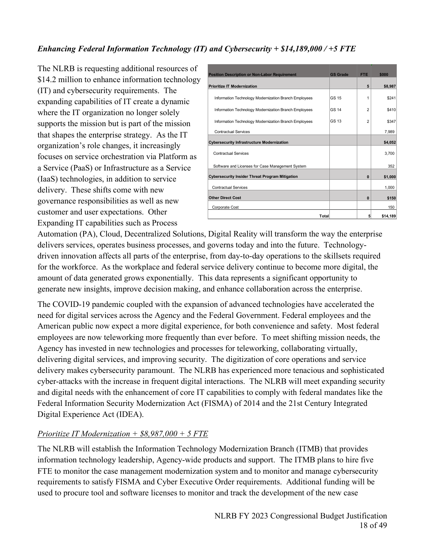### <span id="page-18-0"></span>*Enhancing Federal Information Technology (IT) and Cybersecurity + \$14,189,000 / +5 FTE*

The NLRB is requesting additional resources of \$14.2 million to enhance information technology (IT) and cybersecurity requirements. The expanding capabilities of IT create a dynamic where the IT organization no longer solely supports the mission but is part of the mission that shapes the enterprise strategy. As the IT organization's role changes, it increasingly focuses on service orchestration via Platform as a Service (PaaS) or Infrastructure as a Service (IaaS) technologies, in addition to service delivery. These shifts come with new governance responsibilities as well as new customer and user expectations. Other Expanding IT capabilities such as Process

| <b>Position Description or Non-Labor Requirement</b>   | <b>GS Grade</b> | <b>FTE</b>     | \$000    |
|--------------------------------------------------------|-----------------|----------------|----------|
| <b>Prioritize IT Modernization</b>                     |                 | 5              | \$8,987  |
| Information Technology Modernization Branch Employees  | GS 15           | 1              | \$241    |
| Information Technology Modernization Branch Employees  | <b>GS 14</b>    | $\overline{2}$ | \$410    |
| Information Technology Modernization Branch Employees  | GS 13           | $\overline{2}$ | \$347    |
| <b>Contractual Services</b>                            |                 |                | 7,989    |
| <b>Cybersecurity Infrastructure Modernization</b>      |                 |                | \$4,052  |
| <b>Contractual Services</b>                            |                 |                | 3.700    |
| Software and Licenses for Case Management System       |                 |                | 352      |
| <b>Cybersecurity Insider Threat Program Mitigation</b> |                 | $\bf{0}$       | \$1,000  |
| <b>Contractual Services</b>                            |                 |                | 1,000    |
| <b>Other Direct Cost</b>                               |                 | $\bf{0}$       | \$150    |
| Corporate Cost                                         |                 |                | 150      |
| <b>Total</b>                                           |                 | 5              | \$14,189 |

Automation (PA), Cloud, Decentralized Solutions, Digital Reality will transform the way the enterprise delivers services, operates business processes, and governs today and into the future. Technologydriven innovation affects all parts of the enterprise, from day-to-day operations to the skillsets required for the workforce. As the workplace and federal service delivery continue to become more digital, the amount of data generated grows exponentially. This data represents a significant opportunity to generate new insights, improve decision making, and enhance collaboration across the enterprise.

The COVID-19 pandemic coupled with the expansion of advanced technologies have accelerated the need for digital services across the Agency and the Federal Government. Federal employees and the American public now expect a more digital experience, for both convenience and safety. Most federal employees are now teleworking more frequently than ever before. To meet shifting mission needs, the Agency has invested in new technologies and processes for teleworking, collaborating virtually, delivering digital services, and improving security. The digitization of core operations and service delivery makes cybersecurity paramount. The NLRB has experienced more tenacious and sophisticated cyber-attacks with the increase in frequent digital interactions. The NLRB will meet expanding security and digital needs with the enhancement of core IT capabilities to comply with federal mandates like the Federal Information Security Modernization Act (FISMA) of 2014 and the 21st Century Integrated Digital Experience Act (IDEA).

#### *Prioritize IT Modernization + \$8,987,000 + 5 FTE*

The NLRB will establish the Information Technology Modernization Branch (ITMB) that provides information technology leadership, Agency-wide products and support. The ITMB plans to hire five FTE to monitor the case management modernization system and to monitor and manage cybersecurity requirements to satisfy FISMA and Cyber Executive Order requirements. Additional funding will be used to procure tool and software licenses to monitor and track the development of the new case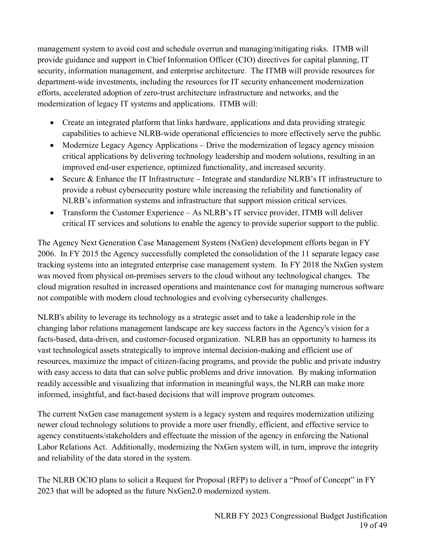management system to avoid cost and schedule overrun and managing/mitigating risks. ITMB will provide guidance and support in Chief Information Officer (CIO) directives for capital planning, IT security, information management, and enterprise architecture. The ITMB will provide resources for department-wide investments, including the resources for IT security enhancement modernization efforts, accelerated adoption of zero-trust architecture infrastructure and networks, and the modernization of legacy IT systems and applications. ITMB will:

- Create an integrated platform that links hardware, applications and data providing strategic capabilities to achieve NLRB-wide operational efficiencies to more effectively serve the public*.*
- Modernize Legacy Agency Applications Drive the modernization of legacy agency mission critical applications by delivering technology leadership and modern solutions, resulting in an improved end-user experience, optimized functionality, and increased security.
- Secure & Enhance the IT Infrastructure Integrate and standardize NLRB's IT infrastructure to provide a robust cybersecurity posture while increasing the reliability and functionality of NLRB's information systems and infrastructure that support mission critical services.
- Transform the Customer Experience As NLRB's IT service provider, ITMB will deliver critical IT services and solutions to enable the agency to provide superior support to the public.

The Agency Next Generation Case Management System (NxGen) development efforts began in FY 2006. In FY 2015 the Agency successfully completed the consolidation of the 11 separate legacy case tracking systems into an integrated enterprise case management system. In FY 2018 the NxGen system was moved from physical on-premises servers to the cloud without any technological changes. The cloud migration resulted in increased operations and maintenance cost for managing numerous software not compatible with modern cloud technologies and evolving cybersecurity challenges.

NLRB's ability to leverage its technology as a strategic asset and to take a leadership role in the changing labor relations management landscape are key success factors in the Agency's vision for a facts-based, data-driven, and customer-focused organization. NLRB has an opportunity to harness its vast technological assets strategically to improve internal decision-making and efficient use of resources, maximize the impact of citizen-facing programs, and provide the public and private industry with easy access to data that can solve public problems and drive innovation. By making information readily accessible and visualizing that information in meaningful ways, the NLRB can make more informed, insightful, and fact-based decisions that will improve program outcomes.

The current NxGen case management system is a legacy system and requires modernization utilizing newer cloud technology solutions to provide a more user friendly, efficient, and effective service to agency constituents/stakeholders and effectuate the mission of the agency in enforcing the National Labor Relations Act. Additionally, modernizing the NxGen system will, in turn, improve the integrity and reliability of the data stored in the system.

The NLRB OCIO plans to solicit a Request for Proposal (RFP) to deliver a "Proof of Concept" in FY 2023 that will be adopted as the future NxGen2.0 modernized system.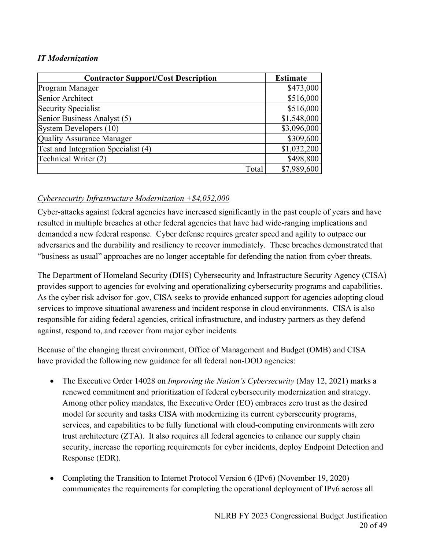#### *IT Modernization*

| <b>Contractor Support/Cost Description</b> | <b>Estimate</b> |
|--------------------------------------------|-----------------|
| Program Manager                            | \$473,000       |
| Senior Architect                           | \$516,000       |
| Security Specialist                        | \$516,000       |
| Senior Business Analyst (5)                | \$1,548,000     |
| System Developers (10)                     | \$3,096,000     |
| Quality Assurance Manager                  | \$309,600       |
| Test and Integration Specialist (4)        | \$1,032,200     |
| Technical Writer (2)                       | \$498,800       |
| Total                                      | \$7,989,600     |

#### *Cybersecurity Infrastructure Modernization +\$4,052,000*

Cyber-attacks against federal agencies have increased significantly in the past couple of years and have resulted in multiple breaches at other federal agencies that have had wide-ranging implications and demanded a new federal response. Cyber defense requires greater speed and agility to outpace our adversaries and the durability and resiliency to recover immediately. These breaches demonstrated that "business as usual" approaches are no longer acceptable for defending the nation from cyber threats.

The Department of Homeland Security (DHS) Cybersecurity and Infrastructure Security Agency (CISA) provides support to agencies for evolving and operationalizing cybersecurity programs and capabilities. As the cyber risk advisor for .gov, CISA seeks to provide enhanced support for agencies adopting cloud services to improve situational awareness and incident response in cloud environments. CISA is also responsible for aiding federal agencies, critical infrastructure, and industry partners as they defend against, respond to, and recover from major cyber incidents.

Because of the changing threat environment, Office of Management and Budget (OMB) and CISA have provided the following new guidance for all federal non-DOD agencies:

- The Executive Order 14028 on *Improving the Nation's Cybersecurity* (May 12, 2021) marks a renewed commitment and prioritization of federal cybersecurity modernization and strategy. Among other policy mandates, the Executive Order (EO) embraces zero trust as the desired model for security and tasks CISA with modernizing its current cybersecurity programs, services, and capabilities to be fully functional with cloud-computing environments with zero trust architecture (ZTA). It also requires all federal agencies to enhance our supply chain security, increase the reporting requirements for cyber incidents, deploy Endpoint Detection and Response (EDR).
- Completing the Transition to Internet Protocol Version 6 (IPv6) (November 19, 2020) communicates the requirements for completing the operational deployment of IPv6 across all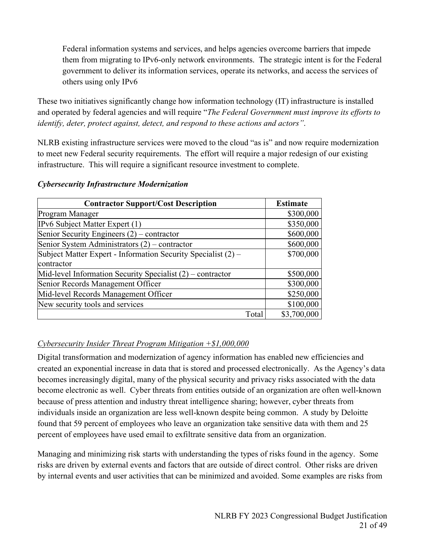Federal information systems and services, and helps agencies overcome barriers that impede them from migrating to IPv6-only network environments. The strategic intent is for the Federal government to deliver its information services, operate its networks, and access the services of others using only IPv6

These two initiatives significantly change how information technology (IT) infrastructure is installed and operated by federal agencies and will require "*The Federal Government must improve its efforts to identify, deter, protect against, detect, and respond to these actions and actors"*.

NLRB existing infrastructure services were moved to the cloud "as is" and now require modernization to meet new Federal security requirements. The effort will require a major redesign of our existing infrastructure. This will require a significant resource investment to complete.

| <b>Contractor Support/Cost Description</b>                      | <b>Estimate</b> |
|-----------------------------------------------------------------|-----------------|
| Program Manager                                                 | \$300,000       |
| IPv6 Subject Matter Expert (1)                                  | \$350,000       |
| Senior Security Engineers (2) – contractor                      | \$600,000       |
| Senior System Administrators (2) – contractor                   | \$600,000       |
| Subject Matter Expert - Information Security Specialist $(2)$ – | \$700,000       |
| contractor                                                      |                 |
| Mid-level Information Security Specialist $(2)$ – contractor    | \$500,000       |
| Senior Records Management Officer                               | \$300,000       |
| Mid-level Records Management Officer                            | \$250,000       |
| New security tools and services                                 | \$100,000       |
| Total                                                           | \$3,700,000     |

#### *Cybersecurity Infrastructure Modernization*

#### *Cybersecurity Insider Threat Program Mitigation +\$1,000,000*

Digital transformation and modernization of agency information has enabled new efficiencies and created an exponential increase in data that is stored and processed electronically. As the Agency's data becomes increasingly digital, many of the physical security and privacy risks associated with the data become electronic as well. Cyber threats from entities outside of an organization are often well-known because of press attention and industry threat intelligence sharing; however, cyber threats from individuals inside an organization are less well-known despite being common. A study by Deloitte found that 59 percent of employees who leave an organization take sensitive data with them and 25 percent of employees have used email to exfiltrate sensitive data from an organization.

Managing and minimizing risk starts with understanding the types of risks found in the agency. Some risks are driven by external events and factors that are outside of direct control. Other risks are driven by internal events and user activities that can be minimized and avoided. Some examples are risks from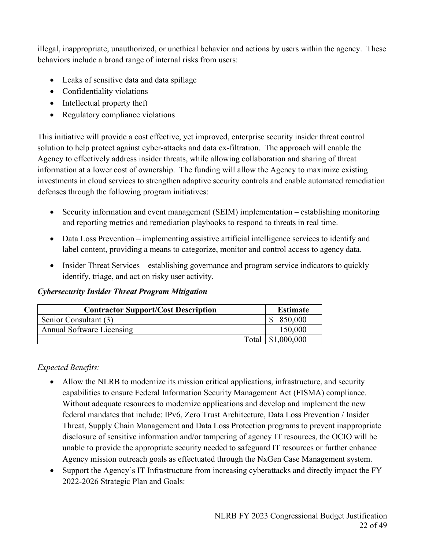illegal, inappropriate, unauthorized, or unethical behavior and actions by users within the agency. These behaviors include a broad range of internal risks from users:

- Leaks of sensitive data and data spillage
- Confidentiality violations
- Intellectual property theft
- Regulatory compliance violations

This initiative will provide a cost effective, yet improved, enterprise security insider threat control solution to help protect against cyber-attacks and data ex-filtration. The approach will enable the Agency to effectively address insider threats, while allowing collaboration and sharing of threat information at a lower cost of ownership. The funding will allow the Agency to maximize existing investments in cloud services to strengthen adaptive security controls and enable automated remediation defenses through the following program initiatives:

- Security information and event management (SEIM) implementation establishing monitoring and reporting metrics and remediation playbooks to respond to threats in real time.
- Data Loss Prevention implementing assistive artificial intelligence services to identify and label content, providing a means to categorize, monitor and control access to agency data.
- Insider Threat Services establishing governance and program service indicators to quickly identify, triage, and act on risky user activity.

#### *Cybersecurity Insider Threat Program Mitigation*

| <b>Contractor Support/Cost Description</b> | <b>Estimate</b> |
|--------------------------------------------|-----------------|
| Senior Consultant (3)                      | 850,000         |
| <b>Annual Software Licensing</b>           | 150,000         |
| Total                                      | \$1,000,000     |

#### *Expected Benefits:*

- Allow the NLRB to modernize its mission critical applications, infrastructure, and security capabilities to ensure Federal Information Security Management Act (FISMA) compliance. Without adequate resources to modernize applications and develop and implement the new federal mandates that include: IPv6, Zero Trust Architecture, Data Loss Prevention / Insider Threat, Supply Chain Management and Data Loss Protection programs to prevent inappropriate disclosure of sensitive information and/or tampering of agency IT resources, the OCIO will be unable to provide the appropriate security needed to safeguard IT resources or further enhance Agency mission outreach goals as effectuated through the NxGen Case Management system.
- Support the Agency's IT Infrastructure from increasing cyberattacks and directly impact the FY 2022-2026 Strategic Plan and Goals: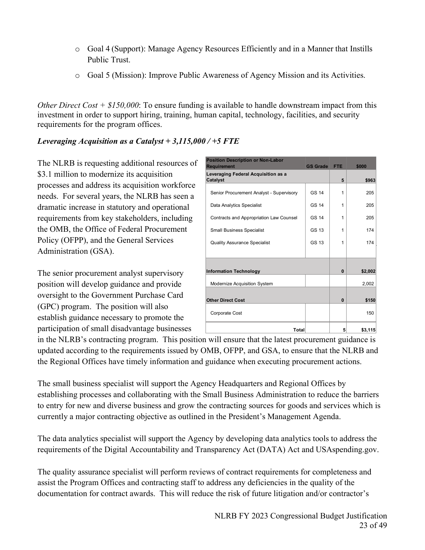- o Goal 4 (Support): Manage Agency Resources Efficiently and in a Manner that Instills Public Trust.
- o Goal 5 (Mission): Improve Public Awareness of Agency Mission and its Activities.

*Other Direct Cost + \$150,000*: To ensure funding is available to handle downstream impact from this investment in order to support hiring, training, human capital, technology, facilities, and security requirements for the program offices.

#### <span id="page-23-0"></span>*Leveraging Acquisition as a Catalyst + 3,115,000 / +5 FTE*

The NLRB is requesting additional resources of \$3.1 million to modernize its acquisition processes and address its acquisition workforce needs. For several years, the NLRB has seen a dramatic increase in statutory and operational requirements from key stakeholders, including the OMB, the Office of Federal Procurement Policy (OFPP), and the General Services Administration (GSA).

The senior procurement analyst supervisory position will develop guidance and provide oversight to the Government Purchase Card (GPC) program. The position will also establish guidance necessary to promote the participation of small disadvantage businesses

| <b>Position Description or Non-Labor</b><br><b>Requirement</b> | <b>GS Grade</b> | <b>FTE</b> | \$000   |
|----------------------------------------------------------------|-----------------|------------|---------|
| Leveraging Federal Acquisition as a<br>Catalyst                | 5               | \$963      |         |
| Senior Procurement Analyst - Supervisory                       | GS 14           | 1          | 205     |
| Data Analytics Specialist                                      | GS 14           | 1          | 205     |
| Contracts and Appropriation Law Counsel                        | GS 14           | 1          | 205     |
| <b>Small Business Specialist</b>                               | GS 13           | 1          | 174     |
| <b>Quality Assurance Specialist</b>                            | GS 13           | 1          | 174     |
|                                                                |                 |            |         |
| <b>Information Technology</b>                                  |                 | $\bf{0}$   | \$2,002 |
| Modernize Acquisition System                                   |                 |            | 2,002   |
| <b>Other Direct Cost</b>                                       |                 | 0          | \$150   |
| Corporate Cost                                                 |                 |            | 150     |
| Total                                                          |                 | 5          | \$3,115 |

in the NLRB's contracting program. This position will ensure that the latest procurement guidance is updated according to the requirements issued by OMB, OFPP, and GSA, to ensure that the NLRB and the Regional Offices have timely information and guidance when executing procurement actions.

The small business specialist will support the Agency Headquarters and Regional Offices by establishing processes and collaborating with the Small Business Administration to reduce the barriers to entry for new and diverse business and grow the contracting sources for goods and services which is currently a major contracting objective as outlined in the President's Management Agenda.

The data analytics specialist will support the Agency by developing data analytics tools to address the requirements of the Digital Accountability and Transparency Act (DATA) Act and USAspending.gov.

The quality assurance specialist will perform reviews of contract requirements for completeness and assist the Program Offices and contracting staff to address any deficiencies in the quality of the documentation for contract awards. This will reduce the risk of future litigation and/or contractor's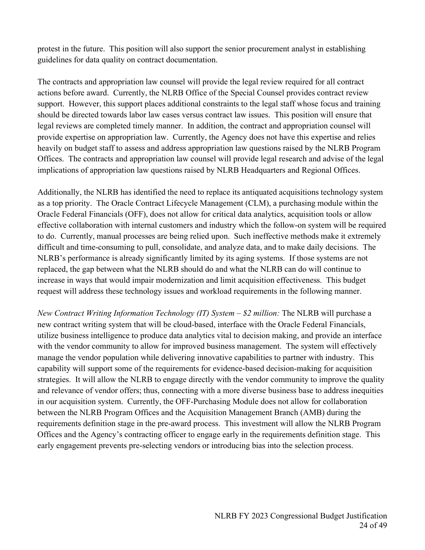protest in the future. This position will also support the senior procurement analyst in establishing guidelines for data quality on contract documentation.

The contracts and appropriation law counsel will provide the legal review required for all contract actions before award. Currently, the NLRB Office of the Special Counsel provides contract review support. However, this support places additional constraints to the legal staff whose focus and training should be directed towards labor law cases versus contract law issues. This position will ensure that legal reviews are completed timely manner. In addition, the contract and appropriation counsel will provide expertise on appropriation law. Currently, the Agency does not have this expertise and relies heavily on budget staff to assess and address appropriation law questions raised by the NLRB Program Offices. The contracts and appropriation law counsel will provide legal research and advise of the legal implications of appropriation law questions raised by NLRB Headquarters and Regional Offices.

Additionally, the NLRB has identified the need to replace its antiquated acquisitions technology system as a top priority. The Oracle Contract Lifecycle Management (CLM), a purchasing module within the Oracle Federal Financials (OFF), does not allow for critical data analytics, acquisition tools or allow effective collaboration with internal customers and industry which the follow-on system will be required to do. Currently, manual processes are being relied upon. Such ineffective methods make it extremely difficult and time-consuming to pull, consolidate, and analyze data, and to make daily decisions. The NLRB's performance is already significantly limited by its aging systems. If those systems are not replaced, the gap between what the NLRB should do and what the NLRB can do will continue to increase in ways that would impair modernization and limit acquisition effectiveness. This budget request will address these technology issues and workload requirements in the following manner.

*New Contract Writing Information Technology (IT) System – \$2 million:* The NLRB will purchase a new contract writing system that will be cloud-based, interface with the Oracle Federal Financials, utilize business intelligence to produce data analytics vital to decision making, and provide an interface with the vendor community to allow for improved business management. The system will effectively manage the vendor population while delivering innovative capabilities to partner with industry. This capability will support some of the requirements for evidence-based decision-making for acquisition strategies. It will allow the NLRB to engage directly with the vendor community to improve the quality and relevance of vendor offers; thus, connecting with a more diverse business base to address inequities in our acquisition system. Currently, the OFF-Purchasing Module does not allow for collaboration between the NLRB Program Offices and the Acquisition Management Branch (AMB) during the requirements definition stage in the pre-award process. This investment will allow the NLRB Program Offices and the Agency's contracting officer to engage early in the requirements definition stage. This early engagement prevents pre-selecting vendors or introducing bias into the selection process.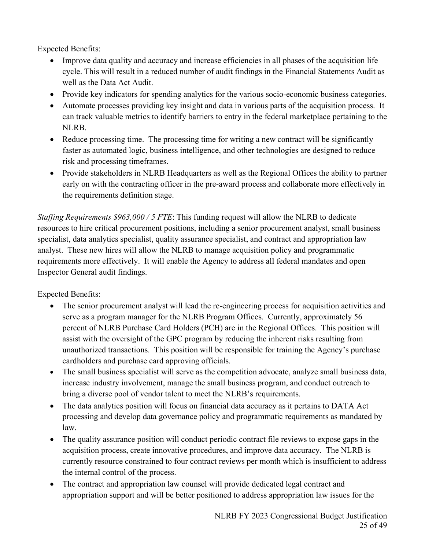Expected Benefits:

- Improve data quality and accuracy and increase efficiencies in all phases of the acquisition life cycle. This will result in a reduced number of audit findings in the Financial Statements Audit as well as the Data Act Audit.
- Provide key indicators for spending analytics for the various socio-economic business categories.
- Automate processes providing key insight and data in various parts of the acquisition process. It can track valuable metrics to identify barriers to entry in the federal marketplace pertaining to the NLRB.
- Reduce processing time. The processing time for writing a new contract will be significantly faster as automated logic, business intelligence, and other technologies are designed to reduce risk and processing timeframes.
- Provide stakeholders in NLRB Headquarters as well as the Regional Offices the ability to partner early on with the contracting officer in the pre-award process and collaborate more effectively in the requirements definition stage.

*Staffing Requirements \$963,000 / 5 FTE*: This funding request will allow the NLRB to dedicate resources to hire critical procurement positions, including a senior procurement analyst, small business specialist, data analytics specialist, quality assurance specialist, and contract and appropriation law analyst. These new hires will allow the NLRB to manage acquisition policy and programmatic requirements more effectively. It will enable the Agency to address all federal mandates and open Inspector General audit findings.

Expected Benefits:

- The senior procurement analyst will lead the re-engineering process for acquisition activities and serve as a program manager for the NLRB Program Offices. Currently, approximately 56 percent of NLRB Purchase Card Holders (PCH) are in the Regional Offices. This position will assist with the oversight of the GPC program by reducing the inherent risks resulting from unauthorized transactions. This position will be responsible for training the Agency's purchase cardholders and purchase card approving officials.
- The small business specialist will serve as the competition advocate, analyze small business data, increase industry involvement, manage the small business program, and conduct outreach to bring a diverse pool of vendor talent to meet the NLRB's requirements.
- The data analytics position will focus on financial data accuracy as it pertains to DATA Act processing and develop data governance policy and programmatic requirements as mandated by law.
- The quality assurance position will conduct periodic contract file reviews to expose gaps in the acquisition process, create innovative procedures, and improve data accuracy. The NLRB is currently resource constrained to four contract reviews per month which is insufficient to address the internal control of the process.
- The contract and appropriation law counsel will provide dedicated legal contract and appropriation support and will be better positioned to address appropriation law issues for the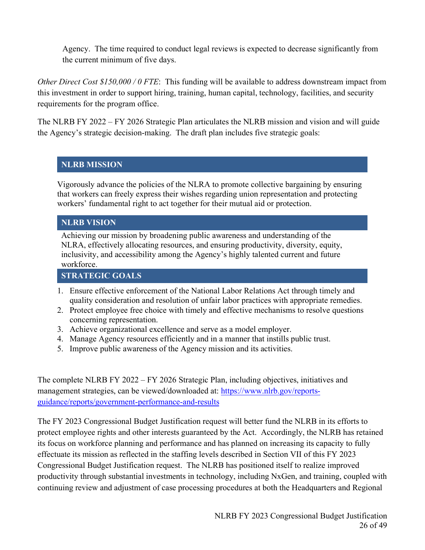Agency. The time required to conduct legal reviews is expected to decrease significantly from the current minimum of five days.

*Other Direct Cost \$150,000 / 0 FTE*: This funding will be available to address downstream impact from this investment in order to support hiring, training, human capital, technology, facilities, and security requirements for the program office.

The NLRB FY 2022 – FY 2026 Strategic Plan articulates the NLRB mission and vision and will guide the Agency's strategic decision-making. The draft plan includes five strategic goals:

#### **NLRB MISSION**

Vigorously advance the policies of the NLRA to promote collective bargaining by ensuring that workers can freely express their wishes regarding union representation and protecting workers' fundamental right to act together for their mutual aid or protection.

#### **NLRB VISION**

Achieving our mission by broadening public awareness and understanding of the NLRA, effectively allocating resources, and ensuring productivity, diversity, equity, inclusivity, and accessibility among the Agency's highly talented current and future workforce.

**STRATEGIC GOALS**

- 1. Ensure effective enforcement of the National Labor Relations Act through timely and quality consideration and resolution of unfair labor practices with appropriate remedies.
- 2. Protect employee free choice with timely and effective mechanisms to resolve questions concerning representation.
- 3. Achieve organizational excellence and serve as a model employer.
- 4. Manage Agency resources efficiently and in a manner that instills public trust.
- 5. Improve public awareness of the Agency mission and its activities.

The complete NLRB FY 2022 – FY 2026 Strategic Plan, including objectives, initiatives and management strategies, can be viewed/downloaded at: [https://www.nlrb.gov/reports](https://www.nlrb.gov/reports-guidance/reports/government-performance-and-results)[guidance/reports/government-performance-and-results](https://www.nlrb.gov/reports-guidance/reports/government-performance-and-results)

The FY 2023 Congressional Budget Justification request will better fund the NLRB in its efforts to protect employee rights and other interests guaranteed by the Act. Accordingly, the NLRB has retained its focus on workforce planning and performance and has planned on increasing its capacity to fully effectuate its mission as reflected in the staffing levels described in Section VII of this FY 2023 Congressional Budget Justification request. The NLRB has positioned itself to realize improved productivity through substantial investments in technology, including NxGen, and training, coupled with continuing review and adjustment of case processing procedures at both the Headquarters and Regional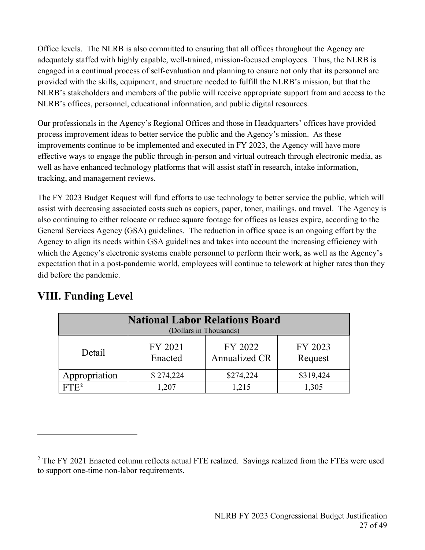Office levels. The NLRB is also committed to ensuring that all offices throughout the Agency are adequately staffed with highly capable, well-trained, mission-focused employees. Thus, the NLRB is engaged in a continual process of self-evaluation and planning to ensure not only that its personnel are provided with the skills, equipment, and structure needed to fulfill the NLRB's mission, but that the NLRB's stakeholders and members of the public will receive appropriate support from and access to the NLRB's offices, personnel, educational information, and public digital resources.

Our professionals in the Agency's Regional Offices and those in Headquarters' offices have provided process improvement ideas to better service the public and the Agency's mission. As these improvements continue to be implemented and executed in FY 2023, the Agency will have more effective ways to engage the public through in-person and virtual outreach through electronic media, as well as have enhanced technology platforms that will assist staff in research, intake information, tracking, and management reviews.

The FY 2023 Budget Request will fund efforts to use technology to better service the public, which will assist with decreasing associated costs such as copiers, paper, toner, mailings, and travel. The Agency is also continuing to either relocate or reduce square footage for offices as leases expire, according to the General Services Agency (GSA) guidelines. The reduction in office space is an ongoing effort by the Agency to align its needs within GSA guidelines and takes into account the increasing efficiency with which the Agency's electronic systems enable personnel to perform their work, as well as the Agency's expectation that in a post-pandemic world, employees will continue to telework at higher rates than they did before the pandemic.

| <b>National Labor Relations Board</b><br>(Dollars in Thousands)                |           |           |           |  |  |  |  |
|--------------------------------------------------------------------------------|-----------|-----------|-----------|--|--|--|--|
| FY 2022<br>FY 2023<br>FY 2021<br>Detail<br>Annualized CR<br>Enacted<br>Request |           |           |           |  |  |  |  |
| Appropriation                                                                  | \$274,224 | \$274,224 | \$319,424 |  |  |  |  |
| ${\rm FTF^2}$                                                                  | 1,207     | 1,215     | 1,305     |  |  |  |  |

## <span id="page-27-0"></span>**VIII. Funding Level**

<span id="page-27-1"></span> $2$  The FY 2021 Enacted column reflects actual FTE realized. Savings realized from the FTEs were used to support one-time non-labor requirements.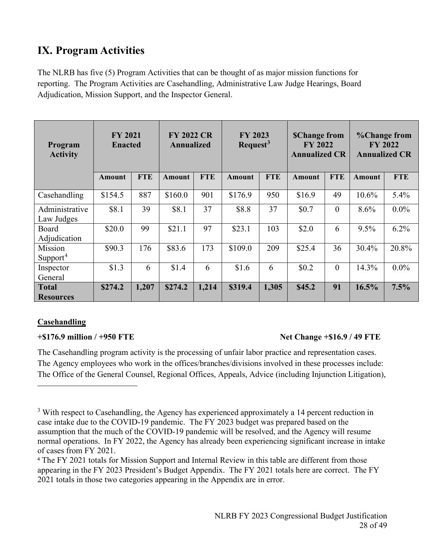## <span id="page-28-0"></span>**IX. Program Activities**

The NLRB has five (5) Program Activities that can be thought of as major mission functions for reporting. The Program Activities are Casehandling, Administrative Law Judge Hearings, Board Adjudication, Mission Support, and the Inspector General.

| Program<br><b>Activity</b>       | <b>FY 2021</b><br><b>Enacted</b> |            | <b>FY 2022 CR</b><br>Annualized |            | <b>FY 2023</b><br>Request <sup>3</sup> |            | <b>SChange from</b><br><b>FY 2022</b><br><b>Annualized CR</b> |            | <b>%Change from</b><br><b>FY 2022</b><br><b>Annualized CR</b> |            |
|----------------------------------|----------------------------------|------------|---------------------------------|------------|----------------------------------------|------------|---------------------------------------------------------------|------------|---------------------------------------------------------------|------------|
|                                  | <b>Amount</b>                    | <b>FTE</b> | <b>Amount</b>                   | <b>FTE</b> | <b>Amount</b>                          | <b>FTE</b> | <b>Amount</b>                                                 | <b>FTE</b> | <b>Amount</b>                                                 | <b>FTE</b> |
| Casehandling                     | \$154.5                          | 887        | \$160.0                         | 901        | \$176.9                                | 950        | \$16.9                                                        | 49         | $10.6\%$                                                      | 5.4%       |
| Administrative<br>Law Judges     | \$8.1                            | 39         | \$8.1                           | 37         | \$8.8                                  | 37         | \$0.7                                                         | $\theta$   | 8.6%                                                          | $0.0\%$    |
| Board<br>Adjudication            | \$20.0                           | 99         | \$21.1                          | 97         | \$23.1                                 | 103        | \$2.0                                                         | 6          | 9.5%                                                          | 6.2%       |
| Mission<br>Support <sup>4</sup>  | \$90.3                           | 176        | \$83.6                          | 173        | \$109.0                                | 209        | \$25.4                                                        | 36         | $30.4\%$                                                      | 20.8%      |
| Inspector<br>General             | \$1.3                            | 6          | \$1.4                           | 6          | \$1.6                                  | 6          | \$0.2\$                                                       | $\theta$   | 14.3%                                                         | $0.0\%$    |
| <b>Total</b><br><b>Resources</b> | \$274.2                          | 1,207      | \$274.2                         | 1,214      | \$319.4                                | 1,305      | \$45.2                                                        | 91         | 16.5%                                                         | 7.5%       |

#### **Casehandling**

#### **+\$176.9 million / +950 FTE Net Change +\$16.9 / 49 FTE**

The Casehandling program activity is the processing of unfair labor practice and representation cases. The Agency employees who work in the offices/branches/divisions involved in these processes include: The Office of the General Counsel, Regional Offices, Appeals, Advice (including Injunction Litigation),

<span id="page-28-1"></span><sup>&</sup>lt;sup>3</sup> With respect to Casehandling, the Agency has experienced approximately a 14 percent reduction in case intake due to the COVID-19 pandemic. The FY 2023 budget was prepared based on the assumption that the much of the COVID-19 pandemic will be resolved, and the Agency will resume normal operations. In FY 2022, the Agency has already been experiencing significant increase in intake of cases from FY 2021.

<span id="page-28-2"></span><sup>4</sup> The FY 2021 totals for Mission Support and Internal Review in this table are different from those appearing in the FY 2023 President's Budget Appendix. The FY 2021 totals here are correct. The FY 2021 totals in those two categories appearing in the Appendix are in error.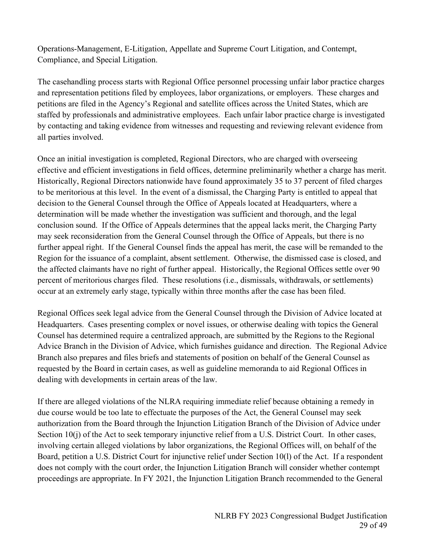Operations-Management, E-Litigation, Appellate and Supreme Court Litigation, and Contempt, Compliance, and Special Litigation.

The casehandling process starts with Regional Office personnel processing unfair labor practice charges and representation petitions filed by employees, labor organizations, or employers. These charges and petitions are filed in the Agency's Regional and satellite offices across the United States, which are staffed by professionals and administrative employees. Each unfair labor practice charge is investigated by contacting and taking evidence from witnesses and requesting and reviewing relevant evidence from all parties involved.

Once an initial investigation is completed, Regional Directors, who are charged with overseeing effective and efficient investigations in field offices, determine preliminarily whether a charge has merit. Historically, Regional Directors nationwide have found approximately 35 to 37 percent of filed charges to be meritorious at this level. In the event of a dismissal, the Charging Party is entitled to appeal that decision to the General Counsel through the Office of Appeals located at Headquarters, where a determination will be made whether the investigation was sufficient and thorough, and the legal conclusion sound. If the Office of Appeals determines that the appeal lacks merit, the Charging Party may seek reconsideration from the General Counsel through the Office of Appeals, but there is no further appeal right. If the General Counsel finds the appeal has merit, the case will be remanded to the Region for the issuance of a complaint, absent settlement. Otherwise, the dismissed case is closed, and the affected claimants have no right of further appeal. Historically, the Regional Offices settle over 90 percent of meritorious charges filed. These resolutions (i.e., dismissals, withdrawals, or settlements) occur at an extremely early stage, typically within three months after the case has been filed.

Regional Offices seek legal advice from the General Counsel through the Division of Advice located at Headquarters. Cases presenting complex or novel issues, or otherwise dealing with topics the General Counsel has determined require a centralized approach, are submitted by the Regions to the Regional Advice Branch in the Division of Advice, which furnishes guidance and direction. The Regional Advice Branch also prepares and files briefs and statements of position on behalf of the General Counsel as requested by the Board in certain cases, as well as guideline memoranda to aid Regional Offices in dealing with developments in certain areas of the law.

If there are alleged violations of the NLRA requiring immediate relief because obtaining a remedy in due course would be too late to effectuate the purposes of the Act, the General Counsel may seek authorization from the Board through the Injunction Litigation Branch of the Division of Advice under Section 10(j) of the Act to seek temporary injunctive relief from a U.S. District Court. In other cases, involving certain alleged violations by labor organizations, the Regional Offices will, on behalf of the Board, petition a U.S. District Court for injunctive relief under Section 10(l) of the Act. If a respondent does not comply with the court order, the Injunction Litigation Branch will consider whether contempt proceedings are appropriate. In FY 2021, the Injunction Litigation Branch recommended to the General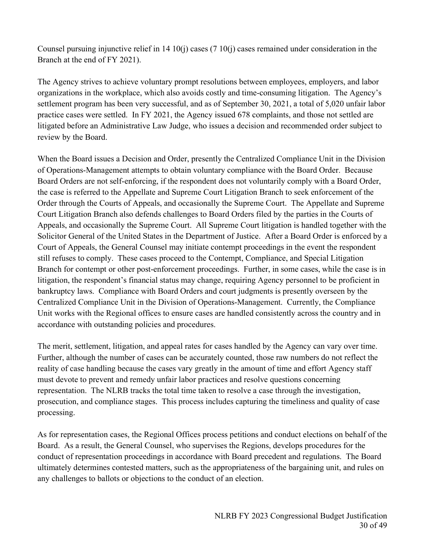Counsel pursuing injunctive relief in 14 10(j) cases (7 10(j) cases remained under consideration in the Branch at the end of FY 2021).

The Agency strives to achieve voluntary prompt resolutions between employees, employers, and labor organizations in the workplace, which also avoids costly and time-consuming litigation. The Agency's settlement program has been very successful, and as of September 30, 2021, a total of 5,020 unfair labor practice cases were settled. In FY 2021, the Agency issued 678 complaints, and those not settled are litigated before an Administrative Law Judge, who issues a decision and recommended order subject to review by the Board.

When the Board issues a Decision and Order, presently the Centralized Compliance Unit in the Division of Operations-Management attempts to obtain voluntary compliance with the Board Order. Because Board Orders are not self-enforcing, if the respondent does not voluntarily comply with a Board Order, the case is referred to the Appellate and Supreme Court Litigation Branch to seek enforcement of the Order through the Courts of Appeals, and occasionally the Supreme Court. The Appellate and Supreme Court Litigation Branch also defends challenges to Board Orders filed by the parties in the Courts of Appeals, and occasionally the Supreme Court. All Supreme Court litigation is handled together with the Solicitor General of the United States in the Department of Justice. After a Board Order is enforced by a Court of Appeals, the General Counsel may initiate contempt proceedings in the event the respondent still refuses to comply. These cases proceed to the Contempt, Compliance, and Special Litigation Branch for contempt or other post-enforcement proceedings. Further, in some cases, while the case is in litigation, the respondent's financial status may change, requiring Agency personnel to be proficient in bankruptcy laws. Compliance with Board Orders and court judgments is presently overseen by the Centralized Compliance Unit in the Division of Operations-Management. Currently, the Compliance Unit works with the Regional offices to ensure cases are handled consistently across the country and in accordance with outstanding policies and procedures.

The merit, settlement, litigation, and appeal rates for cases handled by the Agency can vary over time. Further, although the number of cases can be accurately counted, those raw numbers do not reflect the reality of case handling because the cases vary greatly in the amount of time and effort Agency staff must devote to prevent and remedy unfair labor practices and resolve questions concerning representation. The NLRB tracks the total time taken to resolve a case through the investigation, prosecution, and compliance stages. This process includes capturing the timeliness and quality of case processing.

As for representation cases, the Regional Offices process petitions and conduct elections on behalf of the Board. As a result, the General Counsel, who supervises the Regions, develops procedures for the conduct of representation proceedings in accordance with Board precedent and regulations. The Board ultimately determines contested matters, such as the appropriateness of the bargaining unit, and rules on any challenges to ballots or objections to the conduct of an election.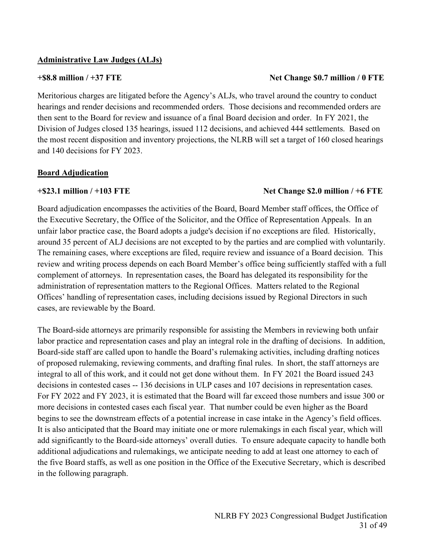#### **Administrative Law Judges (ALJs)**

Meritorious charges are litigated before the Agency's ALJs, who travel around the country to conduct hearings and render decisions and recommended orders. Those decisions and recommended orders are then sent to the Board for review and issuance of a final Board decision and order. In FY 2021, the Division of Judges closed 135 hearings, issued 112 decisions, and achieved 444 settlements. Based on the most recent disposition and inventory projections, the NLRB will set a target of 160 closed hearings and 140 decisions for FY 2023.

#### **Board Adjudication**

#### **+\$23.1 million / +103 FTE Net Change \$2.0 million / +6 FTE**

Board adjudication encompasses the activities of the Board, Board Member staff offices, the Office of the Executive Secretary, the Office of the Solicitor, and the Office of Representation Appeals. In an unfair labor practice case, the Board adopts a judge's decision if no exceptions are filed. Historically, around 35 percent of ALJ decisions are not excepted to by the parties and are complied with voluntarily. The remaining cases, where exceptions are filed, require review and issuance of a Board decision. This review and writing process depends on each Board Member's office being sufficiently staffed with a full complement of attorneys. In representation cases, the Board has delegated its responsibility for the administration of representation matters to the Regional Offices. Matters related to the Regional Offices' handling of representation cases, including decisions issued by Regional Directors in such cases, are reviewable by the Board.

The Board-side attorneys are primarily responsible for assisting the Members in reviewing both unfair labor practice and representation cases and play an integral role in the drafting of decisions. In addition, Board-side staff are called upon to handle the Board's rulemaking activities, including drafting notices of proposed rulemaking, reviewing comments, and drafting final rules. In short, the staff attorneys are integral to all of this work, and it could not get done without them. In FY 2021 the Board issued 243 decisions in contested cases -- 136 decisions in ULP cases and 107 decisions in representation cases. For FY 2022 and FY 2023, it is estimated that the Board will far exceed those numbers and issue 300 or more decisions in contested cases each fiscal year. That number could be even higher as the Board begins to see the downstream effects of a potential increase in case intake in the Agency's field offices. It is also anticipated that the Board may initiate one or more rulemakings in each fiscal year, which will add significantly to the Board-side attorneys' overall duties. To ensure adequate capacity to handle both additional adjudications and rulemakings, we anticipate needing to add at least one attorney to each of the five Board staffs, as well as one position in the Office of the Executive Secretary, which is described in the following paragraph.

#### **+\$8.8 million / +37 FTE Net Change \$0.7 million / 0 FTE**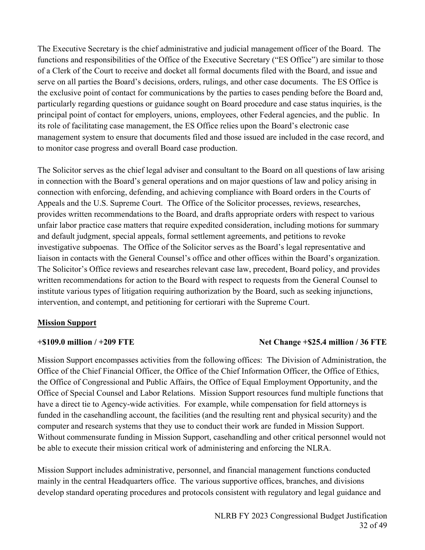The Executive Secretary is the chief administrative and judicial management officer of the Board. The functions and responsibilities of the Office of the Executive Secretary ("ES Office") are similar to those of a Clerk of the Court to receive and docket all formal documents filed with the Board, and issue and serve on all parties the Board's decisions, orders, rulings, and other case documents. The ES Office is the exclusive point of contact for communications by the parties to cases pending before the Board and, particularly regarding questions or guidance sought on Board procedure and case status inquiries, is the principal point of contact for employers, unions, employees, other Federal agencies, and the public. In its role of facilitating case management, the ES Office relies upon the Board's electronic case management system to ensure that documents filed and those issued are included in the case record, and to monitor case progress and overall Board case production.

The Solicitor serves as the chief legal adviser and consultant to the Board on all questions of law arising in connection with the Board's general operations and on major questions of law and policy arising in connection with enforcing, defending, and achieving compliance with Board orders in the Courts of Appeals and the U.S. Supreme Court. The Office of the Solicitor processes, reviews, researches, provides written recommendations to the Board, and drafts appropriate orders with respect to various unfair labor practice case matters that require expedited consideration, including motions for summary and default judgment, special appeals, formal settlement agreements, and petitions to revoke investigative subpoenas. The Office of the Solicitor serves as the Board's legal representative and liaison in contacts with the General Counsel's office and other offices within the Board's organization. The Solicitor's Office reviews and researches relevant case law, precedent, Board policy, and provides written recommendations for action to the Board with respect to requests from the General Counsel to institute various types of litigation requiring authorization by the Board, such as seeking injunctions, intervention, and contempt, and petitioning for certiorari with the Supreme Court.

#### **Mission Support**

#### **+\$109.0 million / +209 FTE Net Change +\$25.4 million / 36 FTE**

Mission Support encompasses activities from the following offices: The Division of Administration, the Office of the Chief Financial Officer, the Office of the Chief Information Officer, the Office of Ethics, the Office of Congressional and Public Affairs, the Office of Equal Employment Opportunity, and the Office of Special Counsel and Labor Relations. Mission Support resources fund multiple functions that have a direct tie to Agency-wide activities. For example, while compensation for field attorneys is funded in the casehandling account, the facilities (and the resulting rent and physical security) and the computer and research systems that they use to conduct their work are funded in Mission Support. Without commensurate funding in Mission Support, casehandling and other critical personnel would not be able to execute their mission critical work of administering and enforcing the NLRA.

Mission Support includes administrative, personnel, and financial management functions conducted mainly in the central Headquarters office. The various supportive offices, branches, and divisions develop standard operating procedures and protocols consistent with regulatory and legal guidance and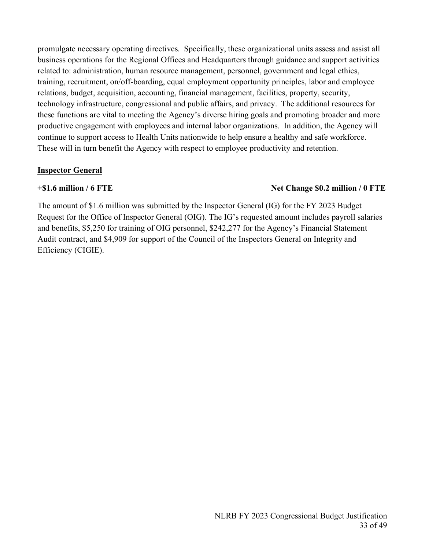promulgate necessary operating directives. Specifically, these organizational units assess and assist all business operations for the Regional Offices and Headquarters through guidance and support activities related to: administration, human resource management, personnel, government and legal ethics, training, recruitment, on/off-boarding, equal employment opportunity principles, labor and employee relations, budget, acquisition, accounting, financial management, facilities, property, security, technology infrastructure, congressional and public affairs, and privacy. The additional resources for these functions are vital to meeting the Agency's diverse hiring goals and promoting broader and more productive engagement with employees and internal labor organizations. In addition, the Agency will continue to support access to Health Units nationwide to help ensure a healthy and safe workforce. These will in turn benefit the Agency with respect to employee productivity and retention.

#### **Inspector General**

#### **+\$1.6 million / 6 FTE Net Change \$0.2 million / 0 FTE**

The amount of \$1.6 million was submitted by the Inspector General (IG) for the FY 2023 Budget Request for the Office of Inspector General (OIG). The IG's requested amount includes payroll salaries and benefits, \$5,250 for training of OIG personnel, \$242,277 for the Agency's Financial Statement Audit contract, and \$4,909 for support of the Council of the Inspectors General on Integrity and Efficiency (CIGIE).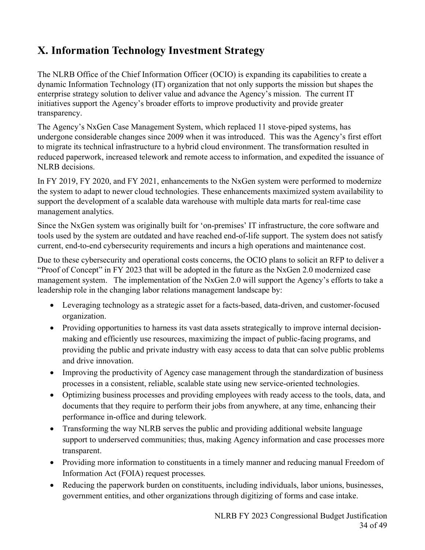## <span id="page-34-0"></span>**X. Information Technology Investment Strategy**

The NLRB Office of the Chief Information Officer (OCIO) is expanding its capabilities to create a dynamic Information Technology (IT) organization that not only supports the mission but shapes the enterprise strategy solution to deliver value and advance the Agency's mission. The current IT initiatives support the Agency's broader efforts to improve productivity and provide greater transparency.

The Agency's NxGen Case Management System, which replaced 11 stove-piped systems, has undergone considerable changes since 2009 when it was introduced. This was the Agency's first effort to migrate its technical infrastructure to a hybrid cloud environment. The transformation resulted in reduced paperwork, increased telework and remote access to information, and expedited the issuance of NLRB decisions.

In FY 2019, FY 2020, and FY 2021, enhancements to the NxGen system were performed to modernize the system to adapt to newer cloud technologies. These enhancements maximized system availability to support the development of a scalable data warehouse with multiple data marts for real-time case management analytics.

Since the NxGen system was originally built for 'on-premises' IT infrastructure, the core software and tools used by the system are outdated and have reached end-of-life support. The system does not satisfy current, end-to-end cybersecurity requirements and incurs a high operations and maintenance cost.

Due to these cybersecurity and operational costs concerns, the OCIO plans to solicit an RFP to deliver a "Proof of Concept" in FY 2023 that will be adopted in the future as the NxGen 2.0 modernized case management system. The implementation of the NxGen 2.0 will support the Agency's efforts to take a leadership role in the changing labor relations management landscape by:

- Leveraging technology as a strategic asset for a facts-based, data-driven, and customer-focused organization.
- Providing opportunities to harness its vast data assets strategically to improve internal decisionmaking and efficiently use resources, maximizing the impact of public-facing programs, and providing the public and private industry with easy access to data that can solve public problems and drive innovation.
- Improving the productivity of Agency case management through the standardization of business processes in a consistent, reliable, scalable state using new service-oriented technologies.
- Optimizing business processes and providing employees with ready access to the tools, data, and documents that they require to perform their jobs from anywhere, at any time, enhancing their performance in-office and during telework.
- Transforming the way NLRB serves the public and providing additional website language support to underserved communities; thus, making Agency information and case processes more transparent.
- Providing more information to constituents in a timely manner and reducing manual Freedom of Information Act (FOIA) request processes.
- Reducing the paperwork burden on constituents, including individuals, labor unions, businesses, government entities, and other organizations through digitizing of forms and case intake.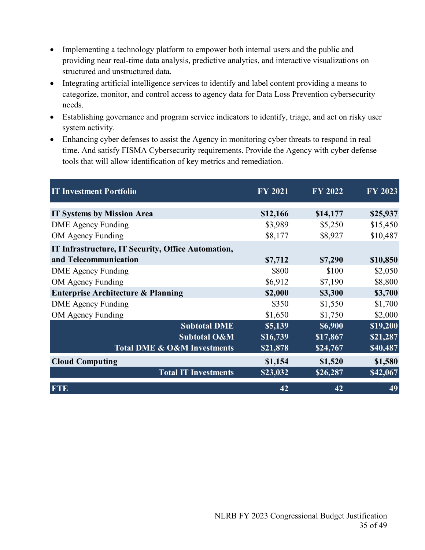- Implementing a technology platform to empower both internal users and the public and providing near real-time data analysis, predictive analytics, and interactive visualizations on structured and unstructured data.
- Integrating artificial intelligence services to identify and label content providing a means to categorize, monitor, and control access to agency data for Data Loss Prevention cybersecurity needs.
- Establishing governance and program service indicators to identify, triage, and act on risky user system activity.
- Enhancing cyber defenses to assist the Agency in monitoring cyber threats to respond in real time. And satisfy FISMA Cybersecurity requirements. Provide the Agency with cyber defense tools that will allow identification of key metrics and remediation.

| <b>IT Investment Portfolio</b>                     | <b>FY 2021</b> | <b>FY 2022</b> | FY 2023  |
|----------------------------------------------------|----------------|----------------|----------|
| <b>IT Systems by Mission Area</b>                  | \$12,166       | \$14,177       | \$25,937 |
| <b>DME</b> Agency Funding                          | \$3,989        | \$5,250        | \$15,450 |
| OM Agency Funding                                  | \$8,177        | \$8,927        | \$10,487 |
| IT Infrastructure, IT Security, Office Automation, |                |                |          |
| and Telecommunication                              | \$7,712        | \$7,290        | \$10,850 |
| <b>DME</b> Agency Funding                          | \$800          | \$100          | \$2,050  |
| OM Agency Funding                                  | \$6,912        | \$7,190        | \$8,800  |
| <b>Enterprise Architecture &amp; Planning</b>      | \$2,000        | \$3,300        | \$3,700  |
| DME Agency Funding                                 | \$350          | \$1,550        | \$1,700  |
| OM Agency Funding                                  | \$1,650        | \$1,750        | \$2,000  |
| <b>Subtotal DME</b>                                | \$5,139        | \$6,900        | \$19,200 |
| <b>Subtotal O&amp;M</b>                            | \$16,739       | \$17,867       | \$21,287 |
| <b>Total DME &amp; O&amp;M Investments</b>         | \$21,878       | \$24,767       | \$40,487 |
| <b>Cloud Computing</b>                             | \$1,154        | \$1,520        | \$1,580  |
| <b>Total IT Investments</b>                        | \$23,032       | \$26,287       | \$42,067 |
| <b>FTE</b>                                         | 42             | 42             | 49       |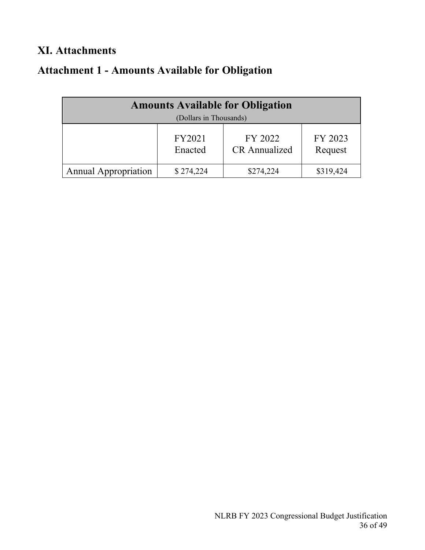## <span id="page-36-0"></span>**XI. Attachments**

## <span id="page-36-1"></span>**Attachment 1 - Amounts Available for Obligation**

| <b>Amounts Available for Obligation</b> |                                                                            |           |           |  |  |  |  |  |  |
|-----------------------------------------|----------------------------------------------------------------------------|-----------|-----------|--|--|--|--|--|--|
| (Dollars in Thousands)                  |                                                                            |           |           |  |  |  |  |  |  |
|                                         | FY 2022<br>FY2021<br>FY 2023<br><b>CR</b> Annualized<br>Enacted<br>Request |           |           |  |  |  |  |  |  |
| <b>Annual Appropriation</b>             | \$274,224                                                                  | \$274,224 | \$319,424 |  |  |  |  |  |  |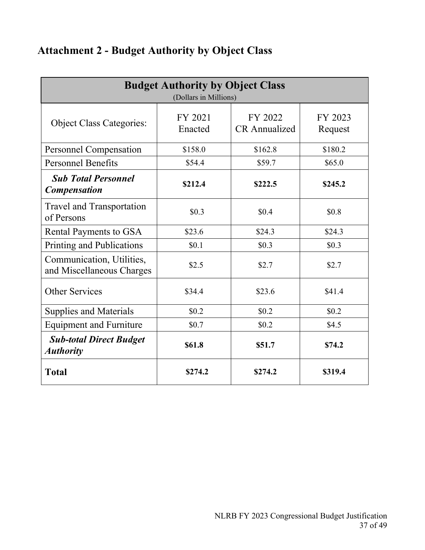| <b>Budget Authority by Object Class</b><br>(Dollars in Millions) |                    |                                 |                    |  |  |  |  |  |  |
|------------------------------------------------------------------|--------------------|---------------------------------|--------------------|--|--|--|--|--|--|
| <b>Object Class Categories:</b>                                  | FY 2021<br>Enacted | FY 2022<br><b>CR</b> Annualized | FY 2023<br>Request |  |  |  |  |  |  |
| Personnel Compensation                                           | \$158.0            | \$162.8                         | \$180.2            |  |  |  |  |  |  |
| <b>Personnel Benefits</b>                                        | \$54.4             | \$59.7                          | \$65.0             |  |  |  |  |  |  |
| <b>Sub Total Personnel</b><br><b>Compensation</b>                | \$212.4            | \$222.5                         | \$245.2            |  |  |  |  |  |  |
| <b>Travel and Transportation</b><br>of Persons                   | \$0.3              | \$0.4                           | \$0.8              |  |  |  |  |  |  |
| Rental Payments to GSA                                           | \$23.6             | \$24.3                          | \$24.3             |  |  |  |  |  |  |
| Printing and Publications                                        | \$0.1              | \$0.3                           | \$0.3              |  |  |  |  |  |  |
| Communication, Utilities,<br>and Miscellaneous Charges           | \$2.5              | \$2.7                           | \$2.7              |  |  |  |  |  |  |
| Other Services                                                   | \$34.4             | \$23.6                          | \$41.4             |  |  |  |  |  |  |
| <b>Supplies and Materials</b>                                    | \$0.2              | \$0.2                           | \$0.2              |  |  |  |  |  |  |
| <b>Equipment and Furniture</b>                                   | \$0.7              | \$0.2                           | \$4.5              |  |  |  |  |  |  |
| <b>Sub-total Direct Budget</b><br><b>Authority</b>               | \$61.8             | \$51.7                          | \$74.2             |  |  |  |  |  |  |
| <b>Total</b>                                                     | \$274.2            | \$274.2                         | \$319.4            |  |  |  |  |  |  |

## <span id="page-37-0"></span>**Attachment 2 - Budget Authority by Object Class**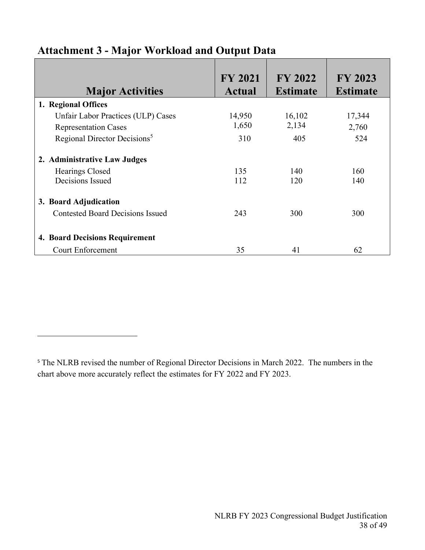|                                          | <b>FY 2021</b> | <b>FY 2022</b>  | <b>FY 2023</b>  |
|------------------------------------------|----------------|-----------------|-----------------|
| <b>Major Activities</b>                  | <b>Actual</b>  | <b>Estimate</b> | <b>Estimate</b> |
| 1. Regional Offices                      |                |                 |                 |
| Unfair Labor Practices (ULP) Cases       | 14,950         | 16,102          | 17,344          |
| <b>Representation Cases</b>              | 1,650          | 2,134           | 2,760           |
| Regional Director Decisions <sup>5</sup> | 310            | 405             | 524             |
| 2. Administrative Law Judges             |                |                 |                 |
| Hearings Closed                          | 135            | 140             | 160             |
| Decisions Issued                         | 112            | 120             | 140             |
| 3. Board Adjudication                    |                |                 |                 |
| <b>Contested Board Decisions Issued</b>  | 243            | 300             | 300             |
| 4. Board Decisions Requirement           |                |                 |                 |
| <b>Court Enforcement</b>                 | 35             | 41              | 62              |

## <span id="page-38-0"></span>**Attachment 3 - Major Workload and Output Data**

<span id="page-38-1"></span><sup>&</sup>lt;sup>5</sup> The NLRB revised the number of Regional Director Decisions in March 2022. The numbers in the chart above more accurately reflect the estimates for FY 2022 and FY 2023.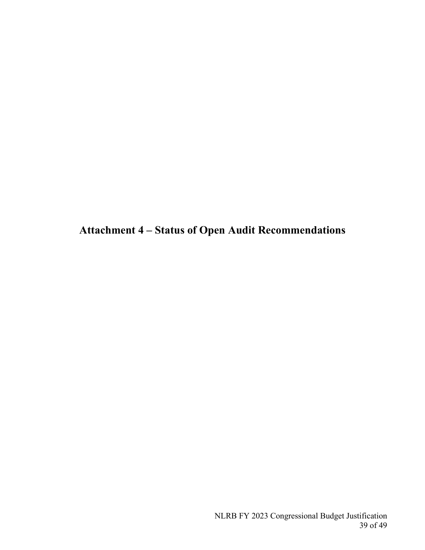<span id="page-39-0"></span>**Attachment 4 – Status of Open Audit Recommendations**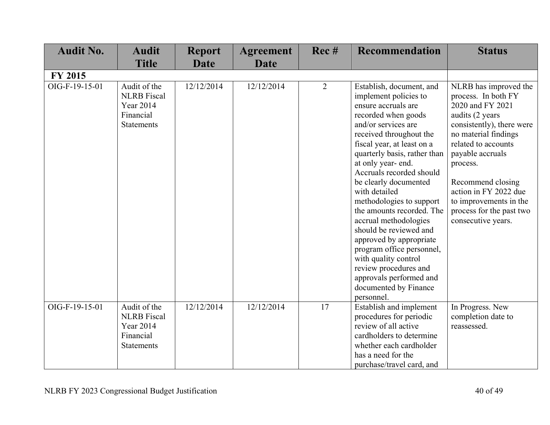| <b>Audit No.</b> | <b>Audit</b><br><b>Title</b>                                                      | <b>Report</b><br>Date | <b>Agreement</b><br><b>Date</b> | Rec#           | <b>Recommendation</b>                                                                                                                                                                                                                                                                                                                                                                                                                                                                                                                                                                              | <b>Status</b>                                                                                                                                                                                                                                                                                                             |
|------------------|-----------------------------------------------------------------------------------|-----------------------|---------------------------------|----------------|----------------------------------------------------------------------------------------------------------------------------------------------------------------------------------------------------------------------------------------------------------------------------------------------------------------------------------------------------------------------------------------------------------------------------------------------------------------------------------------------------------------------------------------------------------------------------------------------------|---------------------------------------------------------------------------------------------------------------------------------------------------------------------------------------------------------------------------------------------------------------------------------------------------------------------------|
| <b>FY 2015</b>   |                                                                                   |                       |                                 |                |                                                                                                                                                                                                                                                                                                                                                                                                                                                                                                                                                                                                    |                                                                                                                                                                                                                                                                                                                           |
| OIG-F-19-15-01   | Audit of the<br><b>NLRB</b> Fiscal<br>Year 2014<br>Financial<br><b>Statements</b> | 12/12/2014            | 12/12/2014                      | $\overline{2}$ | Establish, document, and<br>implement policies to<br>ensure accruals are<br>recorded when goods<br>and/or services are<br>received throughout the<br>fiscal year, at least on a<br>quarterly basis, rather than<br>at only year- end.<br>Accruals recorded should<br>be clearly documented<br>with detailed<br>methodologies to support<br>the amounts recorded. The<br>accrual methodologies<br>should be reviewed and<br>approved by appropriate<br>program office personnel,<br>with quality control<br>review procedures and<br>approvals performed and<br>documented by Finance<br>personnel. | NLRB has improved the<br>process. In both FY<br>2020 and FY 2021<br>audits (2 years<br>consistently), there were<br>no material findings<br>related to accounts<br>payable accruals<br>process.<br>Recommend closing<br>action in FY 2022 due<br>to improvements in the<br>process for the past two<br>consecutive years. |
| OIG-F-19-15-01   | Audit of the<br><b>NLRB</b> Fiscal<br>Year 2014<br>Financial<br><b>Statements</b> | 12/12/2014            | 12/12/2014                      | 17             | Establish and implement<br>procedures for periodic<br>review of all active<br>cardholders to determine<br>whether each cardholder<br>has a need for the<br>purchase/travel card, and                                                                                                                                                                                                                                                                                                                                                                                                               | In Progress. New<br>completion date to<br>reassessed.                                                                                                                                                                                                                                                                     |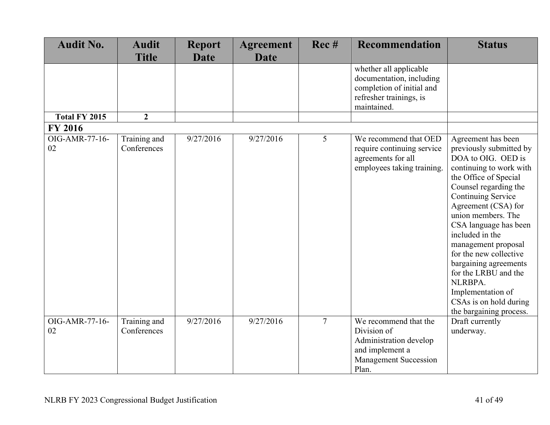| <b>Audit No.</b>     | <b>Audit</b><br><b>Title</b> | <b>Report</b><br><b>Date</b> | <b>Agreement</b><br>Date | Rec#           | <b>Recommendation</b>                                                                                                      | <b>Status</b>                                                                                                                                                                                                                                                                                                                                                                                                                                                 |
|----------------------|------------------------------|------------------------------|--------------------------|----------------|----------------------------------------------------------------------------------------------------------------------------|---------------------------------------------------------------------------------------------------------------------------------------------------------------------------------------------------------------------------------------------------------------------------------------------------------------------------------------------------------------------------------------------------------------------------------------------------------------|
|                      |                              |                              |                          |                | whether all applicable<br>documentation, including<br>completion of initial and<br>refresher trainings, is<br>maintained.  |                                                                                                                                                                                                                                                                                                                                                                                                                                                               |
| <b>Total FY 2015</b> | $\overline{2}$               |                              |                          |                |                                                                                                                            |                                                                                                                                                                                                                                                                                                                                                                                                                                                               |
| <b>FY 2016</b>       |                              |                              |                          |                |                                                                                                                            |                                                                                                                                                                                                                                                                                                                                                                                                                                                               |
| OIG-AMR-77-16-<br>02 | Training and<br>Conferences  | 9/27/2016                    | 9/27/2016                | 5              | We recommend that OED<br>require continuing service<br>agreements for all<br>employees taking training.                    | Agreement has been<br>previously submitted by<br>DOA to OIG. OED is<br>continuing to work with<br>the Office of Special<br>Counsel regarding the<br><b>Continuing Service</b><br>Agreement (CSA) for<br>union members. The<br>CSA language has been<br>included in the<br>management proposal<br>for the new collective<br>bargaining agreements<br>for the LRBU and the<br>NLRBPA.<br>Implementation of<br>CSAs is on hold during<br>the bargaining process. |
| OIG-AMR-77-16-<br>02 | Training and<br>Conferences  | 9/27/2016                    | 9/27/2016                | $\overline{7}$ | We recommend that the<br>Division of<br>Administration develop<br>and implement a<br><b>Management Succession</b><br>Plan. | Draft currently<br>underway.                                                                                                                                                                                                                                                                                                                                                                                                                                  |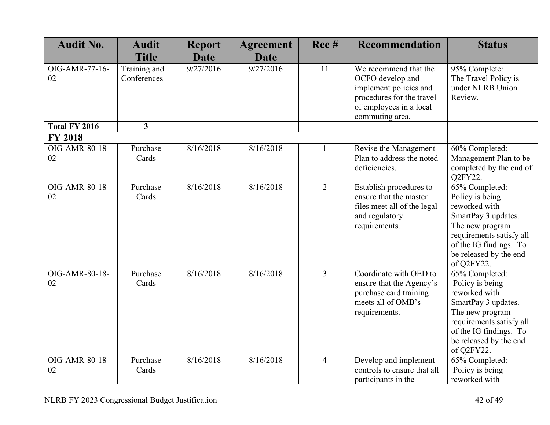| <b>Audit No.</b>     | <b>Audit</b><br><b>Title</b> | <b>Report</b><br><b>Date</b> | <b>Agreement</b><br>Date | Rec#           | <b>Recommendation</b>                                                                                                                          | <b>Status</b>                                                                                                                                                                              |
|----------------------|------------------------------|------------------------------|--------------------------|----------------|------------------------------------------------------------------------------------------------------------------------------------------------|--------------------------------------------------------------------------------------------------------------------------------------------------------------------------------------------|
| OIG-AMR-77-16-<br>02 | Training and<br>Conferences  | 9/27/2016                    | 9/27/2016                | 11             | We recommend that the<br>OCFO develop and<br>implement policies and<br>procedures for the travel<br>of employees in a local<br>commuting area. | 95% Complete:<br>The Travel Policy is<br>under NLRB Union<br>Review.                                                                                                                       |
| <b>Total FY 2016</b> | $\overline{\mathbf{3}}$      |                              |                          |                |                                                                                                                                                |                                                                                                                                                                                            |
| <b>FY 2018</b>       |                              |                              |                          |                |                                                                                                                                                |                                                                                                                                                                                            |
| OIG-AMR-80-18-<br>02 | Purchase<br>Cards            | 8/16/2018                    | 8/16/2018                | 1              | Revise the Management<br>Plan to address the noted<br>deficiencies.                                                                            | 60% Completed:<br>Management Plan to be<br>completed by the end of<br>Q2FY22.                                                                                                              |
| OIG-AMR-80-18-<br>02 | Purchase<br>Cards            | 8/16/2018                    | 8/16/2018                | $\overline{2}$ | Establish procedures to<br>ensure that the master<br>files meet all of the legal<br>and regulatory<br>requirements.                            | 65% Completed:<br>Policy is being<br>reworked with<br>SmartPay 3 updates.<br>The new program<br>requirements satisfy all<br>of the IG findings. To<br>be released by the end<br>of Q2FY22. |
| OIG-AMR-80-18-<br>02 | Purchase<br>Cards            | 8/16/2018                    | 8/16/2018                | $\overline{3}$ | Coordinate with OED to<br>ensure that the Agency's<br>purchase card training<br>meets all of OMB's<br>requirements.                            | 65% Completed:<br>Policy is being<br>reworked with<br>SmartPay 3 updates.<br>The new program<br>requirements satisfy all<br>of the IG findings. To<br>be released by the end<br>of Q2FY22. |
| OIG-AMR-80-18-<br>02 | Purchase<br>Cards            | 8/16/2018                    | 8/16/2018                | $\overline{4}$ | Develop and implement<br>controls to ensure that all<br>participants in the                                                                    | 65% Completed:<br>Policy is being<br>reworked with                                                                                                                                         |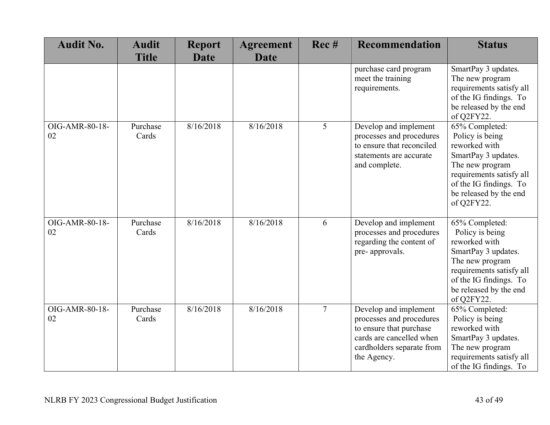| <b>Audit No.</b>     | <b>Audit</b><br><b>Title</b> | <b>Report</b><br><b>Date</b> | <b>Agreement</b><br>Date | Rec#           | <b>Recommendation</b>                                                                                                                                | <b>Status</b>                                                                                                                                                                              |
|----------------------|------------------------------|------------------------------|--------------------------|----------------|------------------------------------------------------------------------------------------------------------------------------------------------------|--------------------------------------------------------------------------------------------------------------------------------------------------------------------------------------------|
|                      |                              |                              |                          |                | purchase card program<br>meet the training<br>requirements.                                                                                          | SmartPay 3 updates.<br>The new program<br>requirements satisfy all<br>of the IG findings. To<br>be released by the end<br>of Q2FY22.                                                       |
| OIG-AMR-80-18-<br>02 | Purchase<br>Cards            | 8/16/2018                    | 8/16/2018                | 5              | Develop and implement<br>processes and procedures<br>to ensure that reconciled<br>statements are accurate<br>and complete.                           | 65% Completed:<br>Policy is being<br>reworked with<br>SmartPay 3 updates.<br>The new program<br>requirements satisfy all<br>of the IG findings. To<br>be released by the end<br>of Q2FY22. |
| OIG-AMR-80-18-<br>02 | Purchase<br>Cards            | 8/16/2018                    | 8/16/2018                | 6              | Develop and implement<br>processes and procedures<br>regarding the content of<br>pre-approvals.                                                      | 65% Completed:<br>Policy is being<br>reworked with<br>SmartPay 3 updates.<br>The new program<br>requirements satisfy all<br>of the IG findings. To<br>be released by the end<br>of Q2FY22. |
| OIG-AMR-80-18-<br>02 | Purchase<br>Cards            | 8/16/2018                    | 8/16/2018                | $\overline{7}$ | Develop and implement<br>processes and procedures<br>to ensure that purchase<br>cards are cancelled when<br>cardholders separate from<br>the Agency. | 65% Completed:<br>Policy is being<br>reworked with<br>SmartPay 3 updates.<br>The new program<br>requirements satisfy all<br>of the IG findings. To                                         |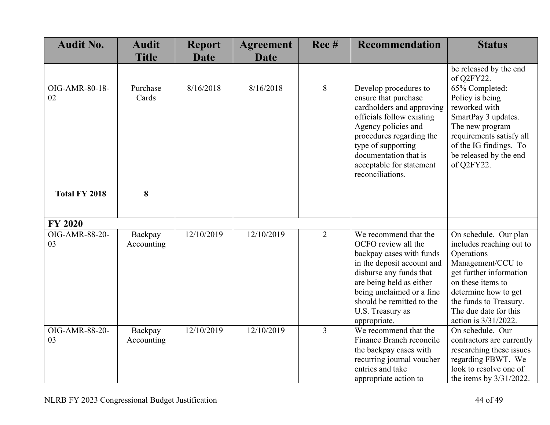| <b>Audit No.</b>     | <b>Audit</b><br><b>Title</b> | <b>Report</b><br><b>Date</b> | <b>Agreement</b><br>Date | Rec#           | <b>Recommendation</b>                                                                                                                                                                                                                                       | <b>Status</b>                                                                                                                                                                                                                           |
|----------------------|------------------------------|------------------------------|--------------------------|----------------|-------------------------------------------------------------------------------------------------------------------------------------------------------------------------------------------------------------------------------------------------------------|-----------------------------------------------------------------------------------------------------------------------------------------------------------------------------------------------------------------------------------------|
|                      |                              |                              |                          |                |                                                                                                                                                                                                                                                             | be released by the end<br>of Q2FY22.                                                                                                                                                                                                    |
| OIG-AMR-80-18-<br>02 | Purchase<br>Cards            | 8/16/2018                    | 8/16/2018                | 8              | Develop procedures to<br>ensure that purchase<br>cardholders and approving<br>officials follow existing<br>Agency policies and<br>procedures regarding the<br>type of supporting<br>documentation that is<br>acceptable for statement<br>reconciliations.   | 65% Completed:<br>Policy is being<br>reworked with<br>SmartPay 3 updates.<br>The new program<br>requirements satisfy all<br>of the IG findings. To<br>be released by the end<br>of Q2FY22.                                              |
| <b>Total FY 2018</b> | 8                            |                              |                          |                |                                                                                                                                                                                                                                                             |                                                                                                                                                                                                                                         |
| <b>FY 2020</b>       |                              |                              |                          |                |                                                                                                                                                                                                                                                             |                                                                                                                                                                                                                                         |
| OIG-AMR-88-20-<br>03 | Backpay<br>Accounting        | 12/10/2019                   | 12/10/2019               | $\overline{2}$ | We recommend that the<br>OCFO review all the<br>backpay cases with funds<br>in the deposit account and<br>disburse any funds that<br>are being held as either<br>being unclaimed or a fine<br>should be remitted to the<br>U.S. Treasury as<br>appropriate. | On schedule. Our plan<br>includes reaching out to<br>Operations<br>Management/CCU to<br>get further information<br>on these items to<br>determine how to get<br>the funds to Treasury.<br>The due date for this<br>action is 3/31/2022. |
| OIG-AMR-88-20-<br>03 | Backpay<br>Accounting        | 12/10/2019                   | 12/10/2019               | $\overline{3}$ | We recommend that the<br>Finance Branch reconcile<br>the backpay cases with<br>recurring journal voucher<br>entries and take<br>appropriate action to                                                                                                       | On schedule. Our<br>contractors are currently<br>researching these issues<br>regarding FBWT. We<br>look to resolve one of<br>the items by $3/31/2022$ .                                                                                 |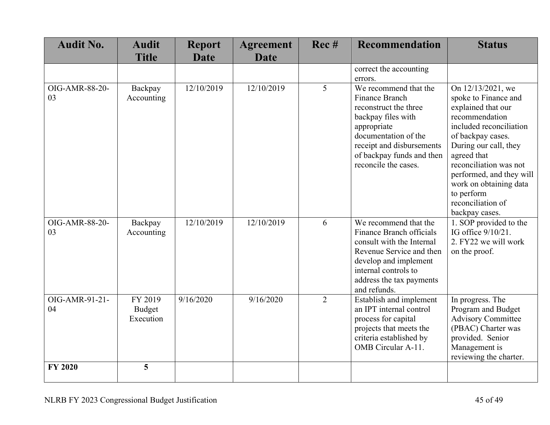| <b>Audit No.</b>     | <b>Audit</b><br><b>Title</b>          | <b>Report</b><br><b>Date</b> | <b>Agreement</b><br><b>Date</b> | Rec#           | <b>Recommendation</b>                                                                                                                                                                                           | <b>Status</b>                                                                                                                                                                                                                                                                                                  |
|----------------------|---------------------------------------|------------------------------|---------------------------------|----------------|-----------------------------------------------------------------------------------------------------------------------------------------------------------------------------------------------------------------|----------------------------------------------------------------------------------------------------------------------------------------------------------------------------------------------------------------------------------------------------------------------------------------------------------------|
|                      |                                       |                              |                                 |                | correct the accounting<br>errors.                                                                                                                                                                               |                                                                                                                                                                                                                                                                                                                |
| OIG-AMR-88-20-<br>03 | Backpay<br>Accounting                 | 12/10/2019                   | 12/10/2019                      | 5              | We recommend that the<br>Finance Branch<br>reconstruct the three<br>backpay files with<br>appropriate<br>documentation of the<br>receipt and disbursements<br>of backpay funds and then<br>reconcile the cases. | On 12/13/2021, we<br>spoke to Finance and<br>explained that our<br>recommendation<br>included reconciliation<br>of backpay cases.<br>During our call, they<br>agreed that<br>reconciliation was not<br>performed, and they will<br>work on obtaining data<br>to perform<br>reconciliation of<br>backpay cases. |
| OIG-AMR-88-20-<br>03 | Backpay<br>Accounting                 | 12/10/2019                   | 12/10/2019                      | 6              | We recommend that the<br>Finance Branch officials<br>consult with the Internal<br>Revenue Service and then<br>develop and implement<br>internal controls to<br>address the tax payments<br>and refunds.         | 1. SOP provided to the<br>IG office 9/10/21.<br>2. FY22 we will work<br>on the proof.                                                                                                                                                                                                                          |
| OIG-AMR-91-21-<br>04 | FY 2019<br><b>Budget</b><br>Execution | 9/16/2020                    | 9/16/2020                       | $\overline{2}$ | Establish and implement<br>an IPT internal control<br>process for capital<br>projects that meets the<br>criteria established by<br>OMB Circular A-11.                                                           | In progress. The<br>Program and Budget<br><b>Advisory Committee</b><br>(PBAC) Charter was<br>provided. Senior<br>Management is<br>reviewing the charter.                                                                                                                                                       |
| <b>FY 2020</b>       | 5                                     |                              |                                 |                |                                                                                                                                                                                                                 |                                                                                                                                                                                                                                                                                                                |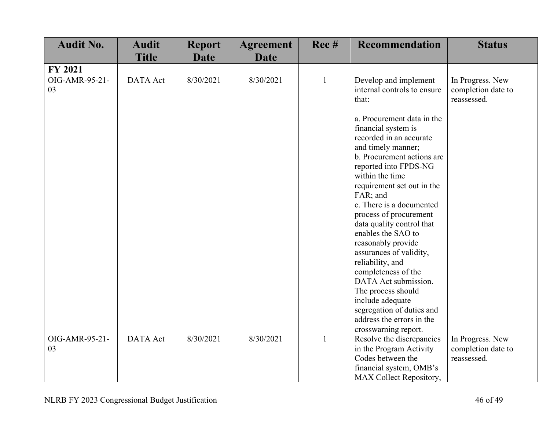| <b>Audit No.</b>     | <b>Audit</b><br><b>Title</b> | <b>Report</b><br><b>Date</b> | <b>Agreement</b><br>Date | Rec#         | <b>Recommendation</b>                                                                                                                                                                                                                                                                                                                                                                                                                             | <b>Status</b>                                         |
|----------------------|------------------------------|------------------------------|--------------------------|--------------|---------------------------------------------------------------------------------------------------------------------------------------------------------------------------------------------------------------------------------------------------------------------------------------------------------------------------------------------------------------------------------------------------------------------------------------------------|-------------------------------------------------------|
| <b>FY 2021</b>       |                              |                              |                          |              |                                                                                                                                                                                                                                                                                                                                                                                                                                                   |                                                       |
| OIG-AMR-95-21-<br>03 | <b>DATA</b> Act              | 8/30/2021                    | 8/30/2021                | $\mathbf{1}$ | Develop and implement<br>internal controls to ensure<br>that:<br>a. Procurement data in the<br>financial system is<br>recorded in an accurate<br>and timely manner;<br>b. Procurement actions are<br>reported into FPDS-NG<br>within the time<br>requirement set out in the<br>FAR; and<br>c. There is a documented<br>process of procurement<br>data quality control that<br>enables the SAO to<br>reasonably provide<br>assurances of validity, | In Progress. New<br>completion date to<br>reassessed. |
|                      |                              |                              |                          |              | reliability, and<br>completeness of the<br>DATA Act submission.<br>The process should<br>include adequate<br>segregation of duties and<br>address the errors in the<br>crosswarning report.                                                                                                                                                                                                                                                       |                                                       |
| OIG-AMR-95-21-<br>03 | <b>DATA</b> Act              | 8/30/2021                    | 8/30/2021                | $\mathbf{1}$ | Resolve the discrepancies<br>in the Program Activity<br>Codes between the<br>financial system, OMB's<br>MAX Collect Repository,                                                                                                                                                                                                                                                                                                                   | In Progress. New<br>completion date to<br>reassessed. |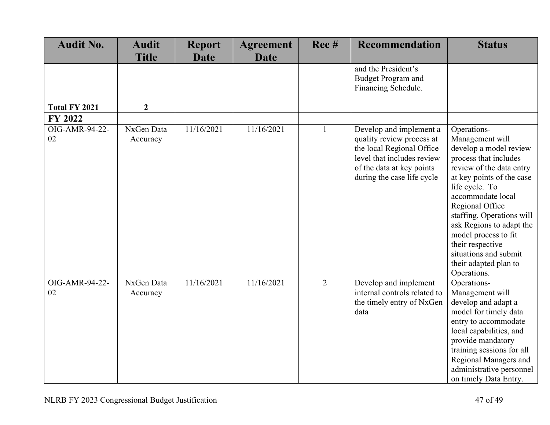| <b>Audit No.</b>     | <b>Audit</b><br><b>Title</b> | <b>Report</b><br><b>Date</b> | <b>Agreement</b><br>Date | Rec#           | <b>Recommendation</b>                                                                                                                                                      | <b>Status</b>                                                                                                                                                                                                                                                                                                                                                              |
|----------------------|------------------------------|------------------------------|--------------------------|----------------|----------------------------------------------------------------------------------------------------------------------------------------------------------------------------|----------------------------------------------------------------------------------------------------------------------------------------------------------------------------------------------------------------------------------------------------------------------------------------------------------------------------------------------------------------------------|
|                      |                              |                              |                          |                | and the President's<br><b>Budget Program and</b><br>Financing Schedule.                                                                                                    |                                                                                                                                                                                                                                                                                                                                                                            |
| <b>Total FY 2021</b> | $\overline{2}$               |                              |                          |                |                                                                                                                                                                            |                                                                                                                                                                                                                                                                                                                                                                            |
| FY 2022              |                              |                              |                          |                |                                                                                                                                                                            |                                                                                                                                                                                                                                                                                                                                                                            |
| OIG-AMR-94-22-<br>02 | NxGen Data<br>Accuracy       | 11/16/2021                   | 11/16/2021               | 1              | Develop and implement a<br>quality review process at<br>the local Regional Office<br>level that includes review<br>of the data at key points<br>during the case life cycle | Operations-<br>Management will<br>develop a model review<br>process that includes<br>review of the data entry<br>at key points of the case<br>life cycle. To<br>accommodate local<br>Regional Office<br>staffing, Operations will<br>ask Regions to adapt the<br>model process to fit<br>their respective<br>situations and submit<br>their adapted plan to<br>Operations. |
| OIG-AMR-94-22-<br>02 | NxGen Data<br>Accuracy       | 11/16/2021                   | 11/16/2021               | $\overline{2}$ | Develop and implement<br>internal controls related to<br>the timely entry of NxGen<br>data                                                                                 | Operations-<br>Management will<br>develop and adapt a<br>model for timely data<br>entry to accommodate<br>local capabilities, and<br>provide mandatory<br>training sessions for all<br>Regional Managers and<br>administrative personnel<br>on timely Data Entry.                                                                                                          |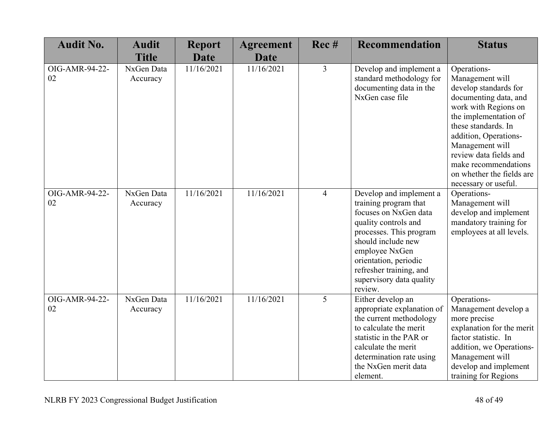| <b>Audit No.</b>     | <b>Audit</b><br><b>Title</b> | <b>Report</b><br><b>Date</b> | <b>Agreement</b><br>Date | Rec #          | <b>Recommendation</b>                                                                                                                                                                                                                                           | <b>Status</b>                                                                                                                                                                                                                                                                                               |
|----------------------|------------------------------|------------------------------|--------------------------|----------------|-----------------------------------------------------------------------------------------------------------------------------------------------------------------------------------------------------------------------------------------------------------------|-------------------------------------------------------------------------------------------------------------------------------------------------------------------------------------------------------------------------------------------------------------------------------------------------------------|
| OIG-AMR-94-22-<br>02 | NxGen Data<br>Accuracy       | 11/16/2021                   | 11/16/2021               | $\overline{3}$ | Develop and implement a<br>standard methodology for<br>documenting data in the<br>NxGen case file                                                                                                                                                               | Operations-<br>Management will<br>develop standards for<br>documenting data, and<br>work with Regions on<br>the implementation of<br>these standards. In<br>addition, Operations-<br>Management will<br>review data fields and<br>make recommendations<br>on whether the fields are<br>necessary or useful. |
| OIG-AMR-94-22-<br>02 | NxGen Data<br>Accuracy       | 11/16/2021                   | 11/16/2021               | $\overline{4}$ | Develop and implement a<br>training program that<br>focuses on NxGen data<br>quality controls and<br>processes. This program<br>should include new<br>employee NxGen<br>orientation, periodic<br>refresher training, and<br>supervisory data quality<br>review. | Operations-<br>Management will<br>develop and implement<br>mandatory training for<br>employees at all levels.                                                                                                                                                                                               |
| OIG-AMR-94-22-<br>02 | NxGen Data<br>Accuracy       | 11/16/2021                   | 11/16/2021               | 5              | Either develop an<br>appropriate explanation of<br>the current methodology<br>to calculate the merit<br>statistic in the PAR or<br>calculate the merit<br>determination rate using<br>the NxGen merit data<br>element.                                          | Operations-<br>Management develop a<br>more precise<br>explanation for the merit<br>factor statistic. In<br>addition, we Operations-<br>Management will<br>develop and implement<br>training for Regions                                                                                                    |